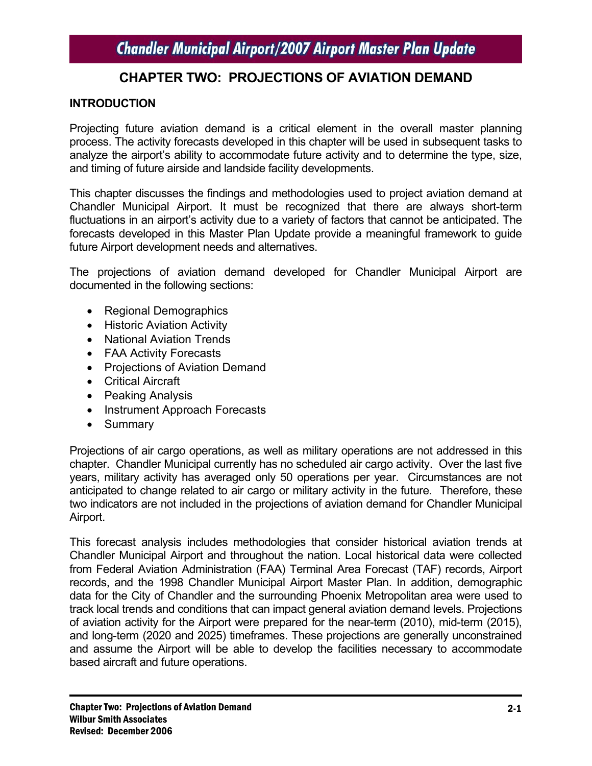### **CHAPTER TWO: PROJECTIONS OF AVIATION DEMAND**

#### **INTRODUCTION**

Projecting future aviation demand is a critical element in the overall master planning process. The activity forecasts developed in this chapter will be used in subsequent tasks to analyze the airport's ability to accommodate future activity and to determine the type, size, and timing of future airside and landside facility developments.

This chapter discusses the findings and methodologies used to project aviation demand at Chandler Municipal Airport. It must be recognized that there are always short-term fluctuations in an airport's activity due to a variety of factors that cannot be anticipated. The forecasts developed in this Master Plan Update provide a meaningful framework to guide future Airport development needs and alternatives.

The projections of aviation demand developed for Chandler Municipal Airport are documented in the following sections:

- Regional Demographics
- Historic Aviation Activity
- National Aviation Trends
- FAA Activity Forecasts
- Projections of Aviation Demand
- Critical Aircraft
- Peaking Analysis
- Instrument Approach Forecasts
- Summary

Projections of air cargo operations, as well as military operations are not addressed in this chapter. Chandler Municipal currently has no scheduled air cargo activity. Over the last five years, military activity has averaged only 50 operations per year. Circumstances are not anticipated to change related to air cargo or military activity in the future. Therefore, these two indicators are not included in the projections of aviation demand for Chandler Municipal Airport.

This forecast analysis includes methodologies that consider historical aviation trends at Chandler Municipal Airport and throughout the nation. Local historical data were collected from Federal Aviation Administration (FAA) Terminal Area Forecast (TAF) records, Airport records, and the 1998 Chandler Municipal Airport Master Plan. In addition, demographic data for the City of Chandler and the surrounding Phoenix Metropolitan area were used to track local trends and conditions that can impact general aviation demand levels. Projections of aviation activity for the Airport were prepared for the near-term (2010), mid-term (2015), and long-term (2020 and 2025) timeframes. These projections are generally unconstrained and assume the Airport will be able to develop the facilities necessary to accommodate based aircraft and future operations.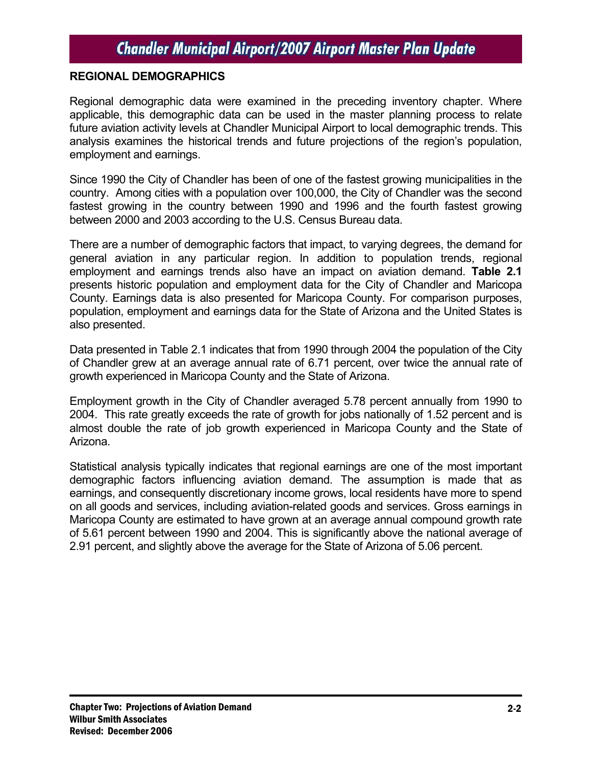#### **REGIONAL DEMOGRAPHICS**

Regional demographic data were examined in the preceding inventory chapter. Where applicable, this demographic data can be used in the master planning process to relate future aviation activity levels at Chandler Municipal Airport to local demographic trends. This analysis examines the historical trends and future projections of the region's population, employment and earnings.

Since 1990 the City of Chandler has been of one of the fastest growing municipalities in the country. Among cities with a population over 100,000, the City of Chandler was the second fastest growing in the country between 1990 and 1996 and the fourth fastest growing between 2000 and 2003 according to the U.S. Census Bureau data.

There are a number of demographic factors that impact, to varying degrees, the demand for general aviation in any particular region. In addition to population trends, regional employment and earnings trends also have an impact on aviation demand. **Table 2.1** presents historic population and employment data for the City of Chandler and Maricopa County. Earnings data is also presented for Maricopa County. For comparison purposes, population, employment and earnings data for the State of Arizona and the United States is also presented.

Data presented in Table 2.1 indicates that from 1990 through 2004 the population of the City of Chandler grew at an average annual rate of 6.71 percent, over twice the annual rate of growth experienced in Maricopa County and the State of Arizona.

Employment growth in the City of Chandler averaged 5.78 percent annually from 1990 to 2004. This rate greatly exceeds the rate of growth for jobs nationally of 1.52 percent and is almost double the rate of job growth experienced in Maricopa County and the State of Arizona.

Statistical analysis typically indicates that regional earnings are one of the most important demographic factors influencing aviation demand. The assumption is made that as earnings, and consequently discretionary income grows, local residents have more to spend on all goods and services, including aviation-related goods and services. Gross earnings in Maricopa County are estimated to have grown at an average annual compound growth rate of 5.61 percent between 1990 and 2004. This is significantly above the national average of 2.91 percent, and slightly above the average for the State of Arizona of 5.06 percent.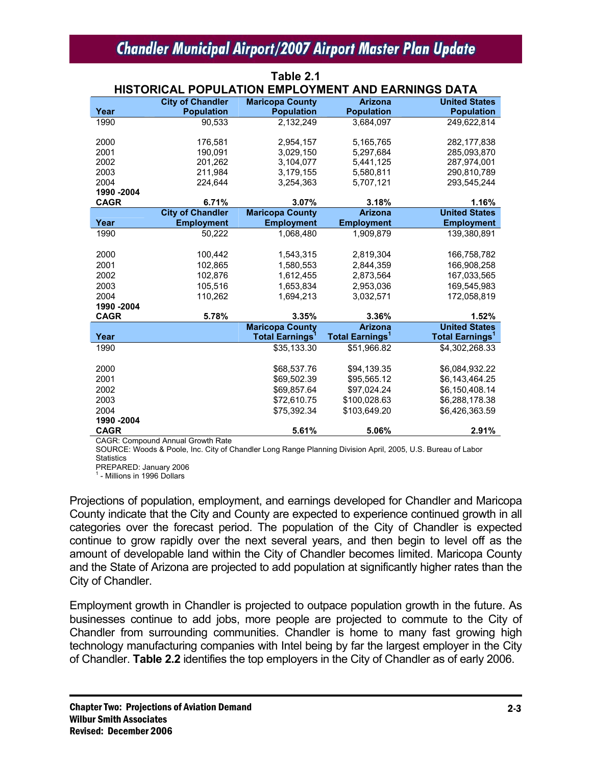**Table 2.1** 

|             | HISTORICAL POPULATION EMPLOYMENT AND EARNINGS DATA |                                                 |                                                     |                                   |  |  |  |  |
|-------------|----------------------------------------------------|-------------------------------------------------|-----------------------------------------------------|-----------------------------------|--|--|--|--|
|             | <b>City of Chandler</b>                            | <b>Maricopa County</b>                          | <b>Arizona</b>                                      | <b>United States</b>              |  |  |  |  |
| Year        | <b>Population</b>                                  | <b>Population</b>                               | <b>Population</b>                                   | <b>Population</b>                 |  |  |  |  |
| 1990        | 90,533                                             | 2,132,249                                       | 3,684,097                                           | 249,622,814                       |  |  |  |  |
|             |                                                    |                                                 |                                                     |                                   |  |  |  |  |
| 2000        | 176,581                                            | 2,954,157                                       | 5,165,765                                           | 282,177,838                       |  |  |  |  |
| 2001        | 190,091                                            | 3,029,150                                       | 5,297,684                                           | 285,093,870                       |  |  |  |  |
| 2002        | 201,262                                            | 3,104,077                                       | 5,441,125                                           | 287,974,001                       |  |  |  |  |
| 2003        | 211,984                                            | 3,179,155                                       | 5,580,811                                           | 290,810,789                       |  |  |  |  |
| 2004        | 224,644                                            | 3,254,363                                       | 5,707,121                                           | 293,545,244                       |  |  |  |  |
| 1990 - 2004 |                                                    |                                                 |                                                     |                                   |  |  |  |  |
| <b>CAGR</b> | 6.71%                                              | 3.07%                                           | 3.18%                                               | 1.16%<br><b>United States</b>     |  |  |  |  |
|             | <b>City of Chandler</b><br><b>Employment</b>       | <b>Maricopa County</b>                          | <b>Arizona</b>                                      |                                   |  |  |  |  |
| Year        |                                                    | <b>Employment</b>                               | <b>Employment</b>                                   | <b>Employment</b>                 |  |  |  |  |
| 1990        | 50,222                                             | 1.068.480                                       | 1.909.879                                           | 139.380.891                       |  |  |  |  |
| 2000        | 100,442                                            | 1,543,315                                       | 2,819,304                                           | 166,758,782                       |  |  |  |  |
| 2001        |                                                    | 1.580.553                                       | 2.844.359                                           |                                   |  |  |  |  |
|             | 102,865                                            |                                                 |                                                     | 166,908,258                       |  |  |  |  |
| 2002        | 102,876                                            | 1,612,455                                       | 2,873,564                                           | 167,033,565                       |  |  |  |  |
| 2003        | 105,516                                            | 1,653,834                                       | 2,953,036                                           | 169,545,983                       |  |  |  |  |
| 2004        | 110,262                                            | 1.694.213                                       | 3,032,571                                           | 172.058.819                       |  |  |  |  |
| 1990 -2004  |                                                    |                                                 |                                                     |                                   |  |  |  |  |
| <b>CAGR</b> | 5.78%                                              | 3.35%                                           | 3.36%                                               | 1.52%<br><b>United States</b>     |  |  |  |  |
| Year        |                                                    | <b>Maricopa County</b><br><b>Total Earnings</b> | <b>Arizona</b><br><b>Total Earnings<sup>1</sup></b> | <b>Total Earnings<sup>1</sup></b> |  |  |  |  |
| 1990        |                                                    | \$35,133.30                                     | \$51,966.82                                         | \$4,302,268.33                    |  |  |  |  |
|             |                                                    |                                                 |                                                     |                                   |  |  |  |  |
| 2000        |                                                    | \$68,537.76                                     | \$94,139.35                                         | \$6,084,932.22                    |  |  |  |  |
| 2001        |                                                    | \$69,502.39                                     | \$95,565.12                                         | \$6,143,464.25                    |  |  |  |  |
| 2002        |                                                    | \$69,857.64                                     | \$97,024.24                                         | \$6,150,408.14                    |  |  |  |  |
| 2003        |                                                    | \$72,610.75                                     | \$100,028.63                                        | \$6,288,178.38                    |  |  |  |  |
| 2004        |                                                    | \$75,392.34                                     | \$103,649.20                                        | \$6,426,363.59                    |  |  |  |  |
| 1990 - 2004 |                                                    |                                                 |                                                     |                                   |  |  |  |  |
| <b>CAGR</b> |                                                    | 5.61%                                           | 5.06%                                               | 2.91%                             |  |  |  |  |
|             | CACD: Compound Annual Crouth Data                  |                                                 |                                                     |                                   |  |  |  |  |

CAGR: Compound Annual Growth Rate

SOURCE: Woods & Poole, Inc. City of Chandler Long Range Planning Division April, 2005, U.S. Bureau of Labor **Statistics** 

PREPARED: January 2006

1 - Millions in 1996 Dollars

Projections of population, employment, and earnings developed for Chandler and Maricopa County indicate that the City and County are expected to experience continued growth in all categories over the forecast period. The population of the City of Chandler is expected continue to grow rapidly over the next several years, and then begin to level off as the amount of developable land within the City of Chandler becomes limited. Maricopa County and the State of Arizona are projected to add population at significantly higher rates than the City of Chandler.

Employment growth in Chandler is projected to outpace population growth in the future. As businesses continue to add jobs, more people are projected to commute to the City of Chandler from surrounding communities. Chandler is home to many fast growing high technology manufacturing companies with Intel being by far the largest employer in the City of Chandler. **Table 2.2** identifies the top employers in the City of Chandler as of early 2006.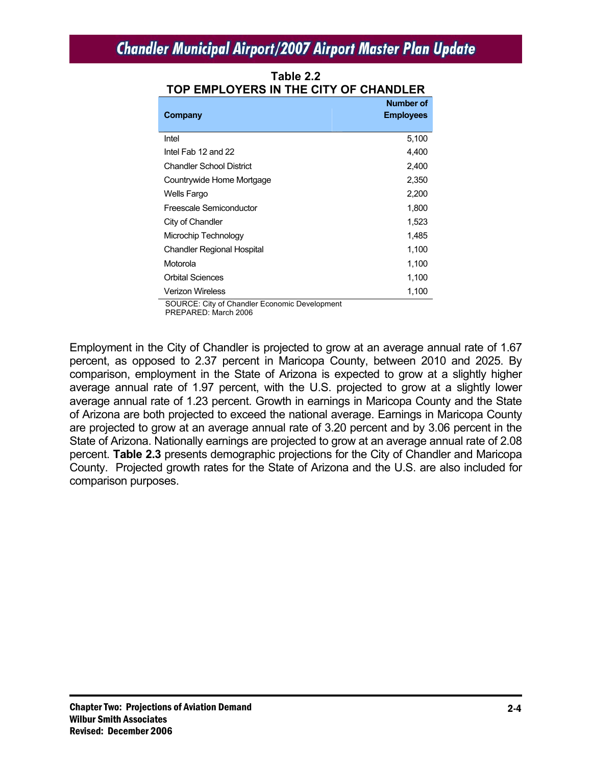| Company                                        | Number of<br><b>Employees</b> |
|------------------------------------------------|-------------------------------|
| Intel                                          | 5,100                         |
| Intel Fab 12 and 22                            | 4,400                         |
| <b>Chandler School District</b>                | 2,400                         |
| Countrywide Home Mortgage                      | 2,350                         |
| Wells Fargo                                    | 2,200                         |
| Freescale Semiconductor                        | 1,800                         |
| City of Chandler                               | 1,523                         |
| Microchip Technology                           | 1,485                         |
| <b>Chandler Regional Hospital</b>              | 1,100                         |
| Motorola                                       | 1,100                         |
| <b>Orbital Sciences</b>                        | 1,100                         |
| <b>Verizon Wireless</b>                        | 1,100                         |
| SOLIRCE: City of Chandler Economic Development |                               |

**Table 2.2 TOP EMPLOYERS IN THE CITY OF CHANDLER** 

URCE: City of Chandler Economic Development PREPARED: March 2006

Employment in the City of Chandler is projected to grow at an average annual rate of 1.67 percent, as opposed to 2.37 percent in Maricopa County, between 2010 and 2025. By comparison, employment in the State of Arizona is expected to grow at a slightly higher average annual rate of 1.97 percent, with the U.S. projected to grow at a slightly lower average annual rate of 1.23 percent. Growth in earnings in Maricopa County and the State of Arizona are both projected to exceed the national average. Earnings in Maricopa County are projected to grow at an average annual rate of 3.20 percent and by 3.06 percent in the State of Arizona. Nationally earnings are projected to grow at an average annual rate of 2.08 percent. **Table 2.3** presents demographic projections for the City of Chandler and Maricopa County. Projected growth rates for the State of Arizona and the U.S. are also included for comparison purposes.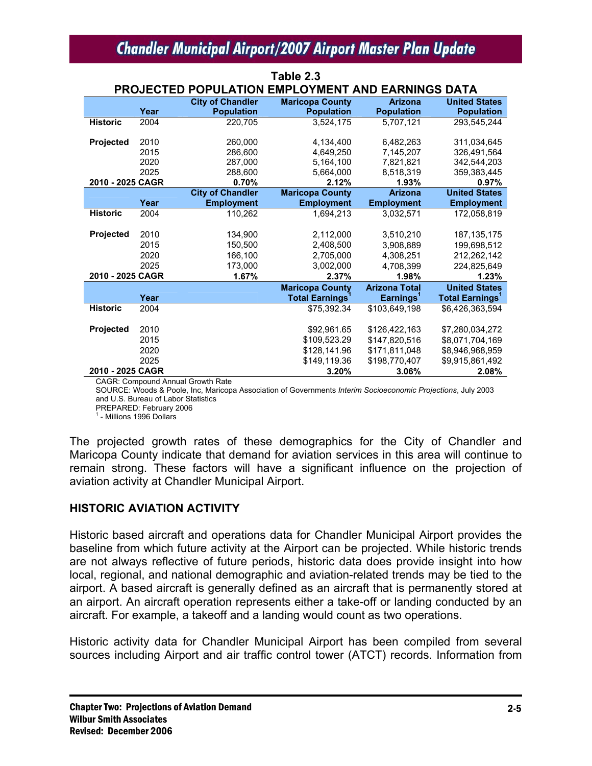**Table 2.3** 

|                  | PROJECTED POPULATION EMPLOYMENT AND EARNINGS DATA |                         |                                   |                       |                                   |  |  |  |
|------------------|---------------------------------------------------|-------------------------|-----------------------------------|-----------------------|-----------------------------------|--|--|--|
|                  |                                                   | <b>City of Chandler</b> | <b>Maricopa County</b>            | <b>Arizona</b>        | <b>United States</b>              |  |  |  |
|                  | Year                                              | <b>Population</b>       | <b>Population</b>                 | <b>Population</b>     | <b>Population</b>                 |  |  |  |
| <b>Historic</b>  | 2004                                              | 220,705                 | 3,524,175                         | 5,707,121             | 293,545,244                       |  |  |  |
| <b>Projected</b> | 2010                                              | 260,000                 | 4,134,400                         | 6,482,263             | 311,034,645                       |  |  |  |
|                  | 2015                                              | 286,600                 | 4.649.250                         | 7,145,207             | 326,491,564                       |  |  |  |
|                  | 2020                                              | 287,000                 | 5,164,100                         | 7,821,821             | 342,544,203                       |  |  |  |
|                  | 2025                                              | 288,600                 | 5,664,000                         | 8,518,319             | 359, 383, 445                     |  |  |  |
| 2010 - 2025 CAGR |                                                   | 0.70%                   | 2.12%                             | 1.93%                 | 0.97%                             |  |  |  |
|                  |                                                   | <b>City of Chandler</b> | <b>Maricopa County</b>            | <b>Arizona</b>        | <b>United States</b>              |  |  |  |
|                  | Year                                              | <b>Employment</b>       | <b>Employment</b>                 | <b>Employment</b>     | <b>Employment</b>                 |  |  |  |
| <b>Historic</b>  | 2004                                              | 110,262                 | 1.694.213                         | 3,032,571             | 172.058.819                       |  |  |  |
|                  |                                                   |                         |                                   |                       |                                   |  |  |  |
| <b>Projected</b> | 2010                                              | 134,900                 | 2,112,000                         | 3,510,210             | 187.135.175                       |  |  |  |
|                  | 2015                                              | 150,500                 | 2,408,500                         | 3,908,889             | 199,698,512                       |  |  |  |
|                  | 2020                                              | 166,100                 | 2,705,000                         | 4,308,251             | 212,262,142                       |  |  |  |
|                  | 2025                                              | 173,000                 | 3,002,000                         | 4,708,399             | 224,825,649                       |  |  |  |
| 2010 - 2025 CAGR |                                                   | 1.67%                   | 2.37%                             | 1.98%                 | 1.23%                             |  |  |  |
|                  |                                                   |                         | <b>Maricopa County</b>            | <b>Arizona Total</b>  | <b>United States</b>              |  |  |  |
|                  | Year                                              |                         | <b>Total Earnings<sup>1</sup></b> | Earnings <sup>1</sup> | <b>Total Earnings<sup>1</sup></b> |  |  |  |
| <b>Historic</b>  | 2004                                              |                         | \$75,392.34                       | \$103.649.198         | \$6,426,363,594                   |  |  |  |
|                  |                                                   |                         |                                   |                       |                                   |  |  |  |
| <b>Projected</b> | 2010                                              |                         | \$92,961.65                       | \$126,422,163         | \$7,280,034,272                   |  |  |  |
|                  | 2015                                              |                         | \$109,523.29                      | \$147,820,516         | \$8,071,704,169                   |  |  |  |
|                  | 2020                                              |                         | \$128,141.96                      | \$171,811,048         | \$8,946,968,959                   |  |  |  |
|                  | 2025                                              |                         | \$149,119.36                      | \$198,770,407         | \$9,915,861,492                   |  |  |  |
| 2010 - 2025 CAGR |                                                   |                         | 3.20%                             | 3.06%                 | 2.08%                             |  |  |  |

CAGR: Compound Annual Growth Rate

SOURCE: Woods & Poole, Inc, Maricopa Association of Governments *Interim Socioeconomic Projections*, July 2003 and U.S. Bureau of Labor Statistics

PREPARED: February 2006

<sup>1</sup> - Millions 1996 Dollars

The projected growth rates of these demographics for the City of Chandler and Maricopa County indicate that demand for aviation services in this area will continue to remain strong. These factors will have a significant influence on the projection of aviation activity at Chandler Municipal Airport.

#### **HISTORIC AVIATION ACTIVITY**

Historic based aircraft and operations data for Chandler Municipal Airport provides the baseline from which future activity at the Airport can be projected. While historic trends are not always reflective of future periods, historic data does provide insight into how local, regional, and national demographic and aviation-related trends may be tied to the airport. A based aircraft is generally defined as an aircraft that is permanently stored at an airport. An aircraft operation represents either a take-off or landing conducted by an aircraft. For example, a takeoff and a landing would count as two operations.

Historic activity data for Chandler Municipal Airport has been compiled from several sources including Airport and air traffic control tower (ATCT) records. Information from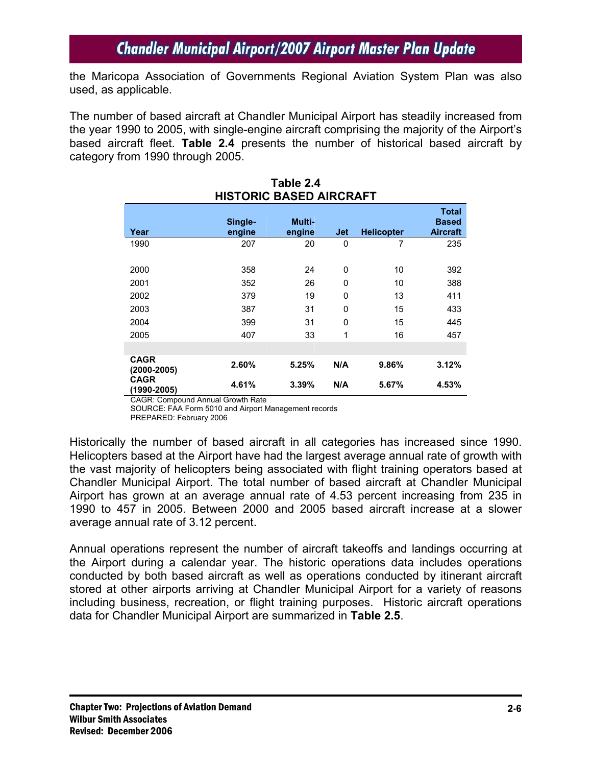the Maricopa Association of Governments Regional Aviation System Plan was also used, as applicable.

The number of based aircraft at Chandler Municipal Airport has steadily increased from the year 1990 to 2005, with single-engine aircraft comprising the majority of the Airport's based aircraft fleet. **Table 2.4** presents the number of historical based aircraft by category from 1990 through 2005.

|                                | יהיה היה שבטהש טווט וטווי |                  |     |                   |                                                 |  |  |  |
|--------------------------------|---------------------------|------------------|-----|-------------------|-------------------------------------------------|--|--|--|
| Year                           | Single-<br>engine         | Multi-<br>engine | Jet | <b>Helicopter</b> | <b>Total</b><br><b>Based</b><br><b>Aircraft</b> |  |  |  |
| 1990                           | 207                       | 20               | 0   | 7                 | 235                                             |  |  |  |
| 2000                           | 358                       | 24               | 0   | 10                | 392                                             |  |  |  |
| 2001                           | 352                       | 26               | 0   | 10                | 388                                             |  |  |  |
| 2002                           | 379                       | 19               | 0   | 13                | 411                                             |  |  |  |
| 2003                           | 387                       | 31               | 0   | 15                | 433                                             |  |  |  |
| 2004                           | 399                       | 31               | 0   | 15                | 445                                             |  |  |  |
| 2005                           | 407                       | 33               | 1   | 16                | 457                                             |  |  |  |
|                                |                           |                  |     |                   |                                                 |  |  |  |
| <b>CAGR</b><br>$(2000 - 2005)$ | 2.60%                     | 5.25%            | N/A | 9.86%             | 3.12%                                           |  |  |  |
| <b>CAGR</b><br>(1990-2005)     | 4.61%                     | 3.39%            | N/A | 5.67%             | 4.53%                                           |  |  |  |

#### **Table 2.4 HISTORIC BASED AIRCRAFT**

CAGR: Compound Annual Growth Rate

SOURCE: FAA Form 5010 and Airport Management records

PREPARED: February 2006

Historically the number of based aircraft in all categories has increased since 1990. Helicopters based at the Airport have had the largest average annual rate of growth with the vast majority of helicopters being associated with flight training operators based at Chandler Municipal Airport. The total number of based aircraft at Chandler Municipal Airport has grown at an average annual rate of 4.53 percent increasing from 235 in 1990 to 457 in 2005. Between 2000 and 2005 based aircraft increase at a slower average annual rate of 3.12 percent.

Annual operations represent the number of aircraft takeoffs and landings occurring at the Airport during a calendar year. The historic operations data includes operations conducted by both based aircraft as well as operations conducted by itinerant aircraft stored at other airports arriving at Chandler Municipal Airport for a variety of reasons including business, recreation, or flight training purposes. Historic aircraft operations data for Chandler Municipal Airport are summarized in **Table 2.5**.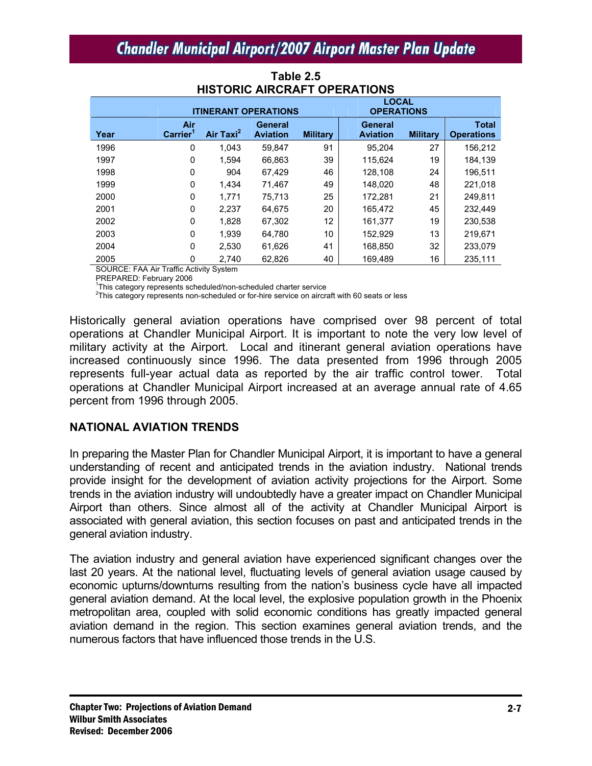|      | <b>ITINERANT OPERATIONS</b> |                       |                                   |                 | <b>LOCAL</b><br><b>OPERATIONS</b> |                 |                                   |
|------|-----------------------------|-----------------------|-----------------------------------|-----------------|-----------------------------------|-----------------|-----------------------------------|
| Year | Air<br>Carrier <sup>1</sup> | Air Taxi <sup>2</sup> | <b>General</b><br><b>Aviation</b> | <b>Military</b> | General<br><b>Aviation</b>        | <b>Military</b> | <b>Total</b><br><b>Operations</b> |
| 1996 | 0                           | 1.043                 | 59.847                            | 91              | 95.204                            | 27              | 156,212                           |
| 1997 | 0                           | 1.594                 | 66.863                            | 39              | 115.624                           | 19              | 184,139                           |
| 1998 | 0                           | 904                   | 67.429                            | 46              | 128,108                           | 24              | 196.511                           |
| 1999 | 0                           | 1.434                 | 71.467                            | 49              | 148.020                           | 48              | 221.018                           |
| 2000 | 0                           | 1,771                 | 75.713                            | 25              | 172,281                           | 21              | 249.811                           |
| 2001 | 0                           | 2,237                 | 64.675                            | 20              | 165.472                           | 45              | 232.449                           |
| 2002 | 0                           | 1,828                 | 67,302                            | 12              | 161,377                           | 19              | 230.538                           |
| 2003 | 0                           | 1.939                 | 64.780                            | 10              | 152,929                           | 13              | 219,671                           |
| 2004 | 0                           | 2,530                 | 61,626                            | 41              | 168,850                           | 32              | 233,079                           |
| 2005 | 0                           | 2.740                 | 62,826                            | 40              | 169.489                           | 16              | 235.111                           |

#### **Table 2.5 HISTORIC AIRCRAFT OPERATIONS**

SOURCE: FAA Air Traffic Activity System

PREPARED: February 2006

<sup>1</sup>This category represents scheduled/non-scheduled charter service  $2\pi$  bis extensive an eiter  $2\pi$ 

 $2$ This category represents non-scheduled or for-hire service on aircraft with 60 seats or less

Historically general aviation operations have comprised over 98 percent of total operations at Chandler Municipal Airport. It is important to note the very low level of military activity at the Airport. Local and itinerant general aviation operations have increased continuously since 1996. The data presented from 1996 through 2005 represents full-year actual data as reported by the air traffic control tower. Total operations at Chandler Municipal Airport increased at an average annual rate of 4.65 percent from 1996 through 2005.

### **NATIONAL AVIATION TRENDS**

In preparing the Master Plan for Chandler Municipal Airport, it is important to have a general understanding of recent and anticipated trends in the aviation industry. National trends provide insight for the development of aviation activity projections for the Airport. Some trends in the aviation industry will undoubtedly have a greater impact on Chandler Municipal Airport than others. Since almost all of the activity at Chandler Municipal Airport is associated with general aviation, this section focuses on past and anticipated trends in the general aviation industry.

The aviation industry and general aviation have experienced significant changes over the last 20 years. At the national level, fluctuating levels of general aviation usage caused by economic upturns/downturns resulting from the nation's business cycle have all impacted general aviation demand. At the local level, the explosive population growth in the Phoenix metropolitan area, coupled with solid economic conditions has greatly impacted general aviation demand in the region. This section examines general aviation trends, and the numerous factors that have influenced those trends in the U.S.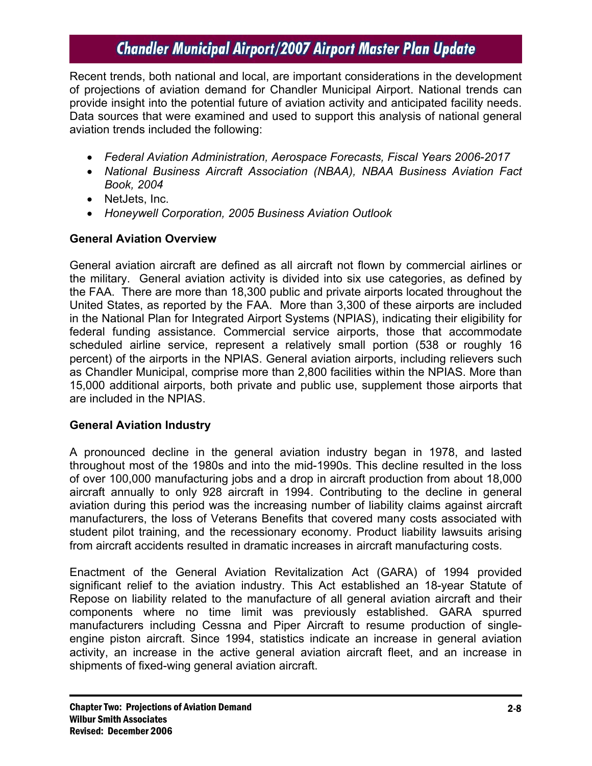Recent trends, both national and local, are important considerations in the development of projections of aviation demand for Chandler Municipal Airport. National trends can provide insight into the potential future of aviation activity and anticipated facility needs. Data sources that were examined and used to support this analysis of national general aviation trends included the following:

- *Federal Aviation Administration, Aerospace Forecasts, Fiscal Years 2006-2017*
- *National Business Aircraft Association (NBAA), NBAA Business Aviation Fact Book, 2004*
- NetJets, Inc.
- *Honeywell Corporation, 2005 Business Aviation Outlook*

### **General Aviation Overview**

General aviation aircraft are defined as all aircraft not flown by commercial airlines or the military. General aviation activity is divided into six use categories, as defined by the FAA. There are more than 18,300 public and private airports located throughout the United States, as reported by the FAA. More than 3,300 of these airports are included in the National Plan for Integrated Airport Systems (NPIAS), indicating their eligibility for federal funding assistance. Commercial service airports, those that accommodate scheduled airline service, represent a relatively small portion (538 or roughly 16 percent) of the airports in the NPIAS. General aviation airports, including relievers such as Chandler Municipal, comprise more than 2,800 facilities within the NPIAS. More than 15,000 additional airports, both private and public use, supplement those airports that are included in the NPIAS.

### **General Aviation Industry**

A pronounced decline in the general aviation industry began in 1978, and lasted throughout most of the 1980s and into the mid-1990s. This decline resulted in the loss of over 100,000 manufacturing jobs and a drop in aircraft production from about 18,000 aircraft annually to only 928 aircraft in 1994. Contributing to the decline in general aviation during this period was the increasing number of liability claims against aircraft manufacturers, the loss of Veterans Benefits that covered many costs associated with student pilot training, and the recessionary economy. Product liability lawsuits arising from aircraft accidents resulted in dramatic increases in aircraft manufacturing costs.

Enactment of the General Aviation Revitalization Act (GARA) of 1994 provided significant relief to the aviation industry. This Act established an 18-year Statute of Repose on liability related to the manufacture of all general aviation aircraft and their components where no time limit was previously established. GARA spurred manufacturers including Cessna and Piper Aircraft to resume production of singleengine piston aircraft. Since 1994, statistics indicate an increase in general aviation activity, an increase in the active general aviation aircraft fleet, and an increase in shipments of fixed-wing general aviation aircraft.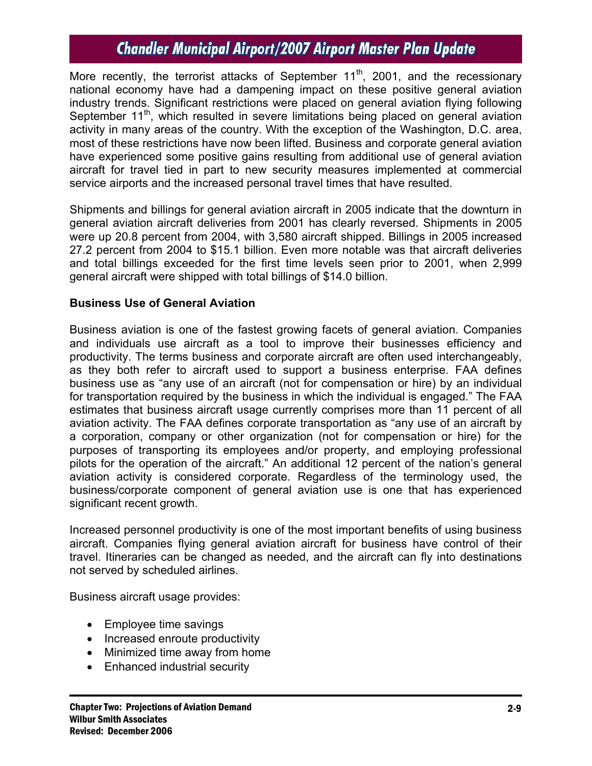More recently, the terrorist attacks of September  $11<sup>th</sup>$ , 2001, and the recessionary national economy have had a dampening impact on these positive general aviation industry trends. Significant restrictions were placed on general aviation flying following September  $11<sup>th</sup>$ , which resulted in severe limitations being placed on general aviation activity in many areas of the country. With the exception of the Washington, D.C. area, most of these restrictions have now been lifted. Business and corporate general aviation have experienced some positive gains resulting from additional use of general aviation aircraft for travel tied in part to new security measures implemented at commercial service airports and the increased personal travel times that have resulted.

Shipments and billings for general aviation aircraft in 2005 indicate that the downturn in general aviation aircraft deliveries from 2001 has clearly reversed. Shipments in 2005 were up 20.8 percent from 2004, with 3,580 aircraft shipped. Billings in 2005 increased 27.2 percent from 2004 to \$15.1 billion. Even more notable was that aircraft deliveries and total billings exceeded for the first time levels seen prior to 2001, when 2,999 general aircraft were shipped with total billings of \$14.0 billion.

#### **Business Use of General Aviation**

Business aviation is one of the fastest growing facets of general aviation. Companies and individuals use aircraft as a tool to improve their businesses efficiency and productivity. The terms business and corporate aircraft are often used interchangeably, as they both refer to aircraft used to support a business enterprise. FAA defines business use as "any use of an aircraft (not for compensation or hire) by an individual for transportation required by the business in which the individual is engaged." The FAA estimates that business aircraft usage currently comprises more than 11 percent of all aviation activity. The FAA defines corporate transportation as "any use of an aircraft by a corporation, company or other organization (not for compensation or hire) for the purposes of transporting its employees and/or property, and employing professional pilots for the operation of the aircraft." An additional 12 percent of the nation's general aviation activity is considered corporate. Regardless of the terminology used, the business/corporate component of general aviation use is one that has experienced significant recent growth.

Increased personnel productivity is one of the most important benefits of using business aircraft. Companies flying general aviation aircraft for business have control of their travel. Itineraries can be changed as needed, and the aircraft can fly into destinations not served by scheduled airlines.

Business aircraft usage provides:

- Employee time savings
- Increased enroute productivity
- Minimized time away from home
- Enhanced industrial security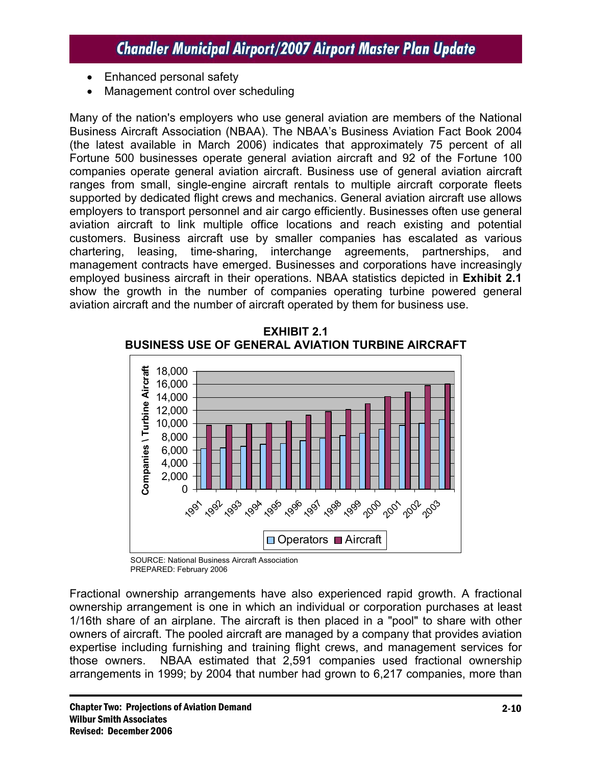- Enhanced personal safety
- Management control over scheduling

Many of the nation's employers who use general aviation are members of the National Business Aircraft Association (NBAA). The NBAA's Business Aviation Fact Book 2004 (the latest available in March 2006) indicates that approximately 75 percent of all Fortune 500 businesses operate general aviation aircraft and 92 of the Fortune 100 companies operate general aviation aircraft. Business use of general aviation aircraft ranges from small, single-engine aircraft rentals to multiple aircraft corporate fleets supported by dedicated flight crews and mechanics. General aviation aircraft use allows employers to transport personnel and air cargo efficiently. Businesses often use general aviation aircraft to link multiple office locations and reach existing and potential customers. Business aircraft use by smaller companies has escalated as various chartering, leasing, time-sharing, interchange agreements, partnerships, and management contracts have emerged. Businesses and corporations have increasingly employed business aircraft in their operations. NBAA statistics depicted in **Exhibit 2.1** show the growth in the number of companies operating turbine powered general aviation aircraft and the number of aircraft operated by them for business use.



**EXHIBIT 2.1 BUSINESS USE OF GENERAL AVIATION TURBINE AIRCRAFT** 

SOURCE: National Business Aircraft Association PREPARED: February 2006

Fractional ownership arrangements have also experienced rapid growth. A fractional ownership arrangement is one in which an individual or corporation purchases at least 1/16th share of an airplane. The aircraft is then placed in a "pool" to share with other owners of aircraft. The pooled aircraft are managed by a company that provides aviation expertise including furnishing and training flight crews, and management services for those owners. NBAA estimated that 2,591 companies used fractional ownership arrangements in 1999; by 2004 that number had grown to 6,217 companies, more than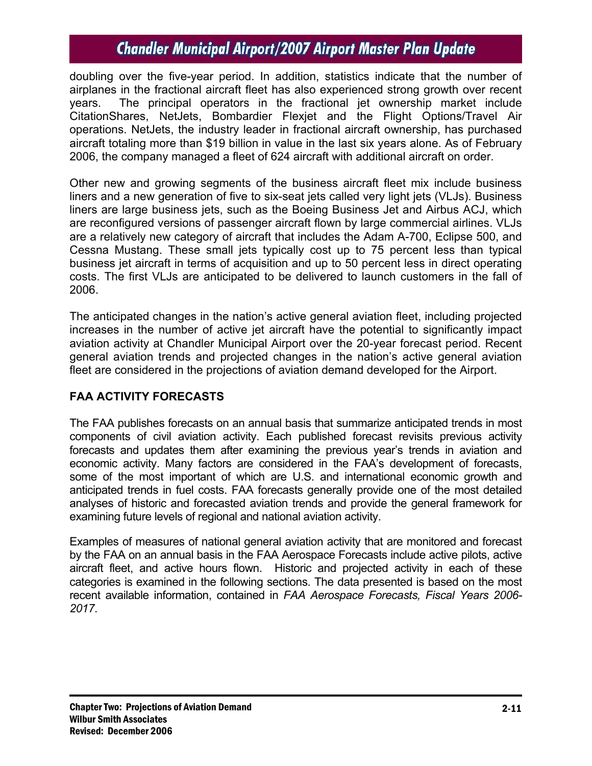doubling over the five-year period. In addition, statistics indicate that the number of airplanes in the fractional aircraft fleet has also experienced strong growth over recent years. The principal operators in the fractional jet ownership market include CitationShares, NetJets, Bombardier Flexjet and the Flight Options/Travel Air operations. NetJets, the industry leader in fractional aircraft ownership, has purchased aircraft totaling more than \$19 billion in value in the last six years alone. As of February 2006, the company managed a fleet of 624 aircraft with additional aircraft on order.

Other new and growing segments of the business aircraft fleet mix include business liners and a new generation of five to six-seat jets called very light jets (VLJs). Business liners are large business jets, such as the Boeing Business Jet and Airbus ACJ, which are reconfigured versions of passenger aircraft flown by large commercial airlines. VLJs are a relatively new category of aircraft that includes the Adam A-700, Eclipse 500, and Cessna Mustang. These small jets typically cost up to 75 percent less than typical business jet aircraft in terms of acquisition and up to 50 percent less in direct operating costs. The first VLJs are anticipated to be delivered to launch customers in the fall of 2006.

The anticipated changes in the nation's active general aviation fleet, including projected increases in the number of active jet aircraft have the potential to significantly impact aviation activity at Chandler Municipal Airport over the 20-year forecast period. Recent general aviation trends and projected changes in the nation's active general aviation fleet are considered in the projections of aviation demand developed for the Airport.

### **FAA ACTIVITY FORECASTS**

The FAA publishes forecasts on an annual basis that summarize anticipated trends in most components of civil aviation activity. Each published forecast revisits previous activity forecasts and updates them after examining the previous year's trends in aviation and economic activity. Many factors are considered in the FAA's development of forecasts, some of the most important of which are U.S. and international economic growth and anticipated trends in fuel costs. FAA forecasts generally provide one of the most detailed analyses of historic and forecasted aviation trends and provide the general framework for examining future levels of regional and national aviation activity.

Examples of measures of national general aviation activity that are monitored and forecast by the FAA on an annual basis in the FAA Aerospace Forecasts include active pilots, active aircraft fleet, and active hours flown. Historic and projected activity in each of these categories is examined in the following sections. The data presented is based on the most recent available information, contained in *FAA Aerospace Forecasts, Fiscal Years 2006- 2017*.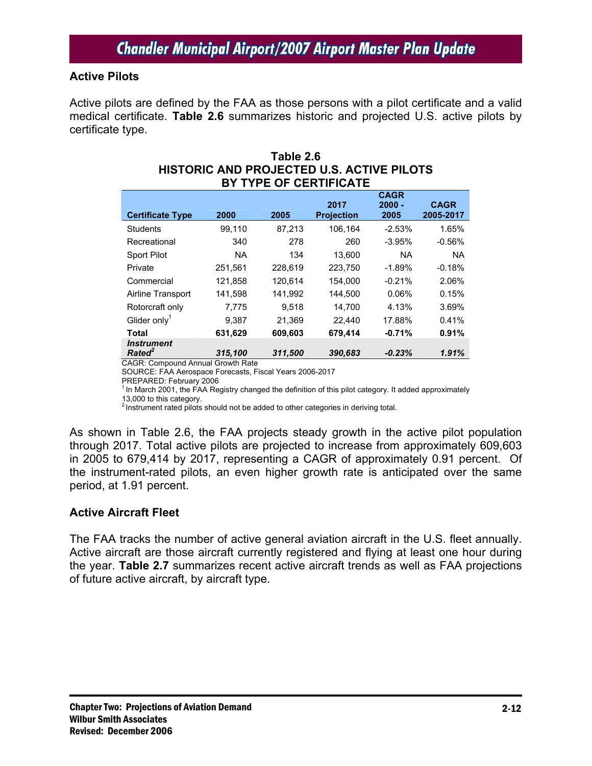#### **Active Pilots**

Active pilots are defined by the FAA as those persons with a pilot certificate and a valid medical certificate. **Table 2.6** summarizes historic and projected U.S. active pilots by certificate type.

| BY TYPE OF CERTIFICATE                  |           |         |                           |                                 |                          |  |  |  |
|-----------------------------------------|-----------|---------|---------------------------|---------------------------------|--------------------------|--|--|--|
| <b>Certificate Type</b>                 | 2000      | 2005    | 2017<br><b>Projection</b> | <b>CAGR</b><br>$2000 -$<br>2005 | <b>CAGR</b><br>2005-2017 |  |  |  |
| <b>Students</b>                         | 99,110    | 87,213  | 106,164                   | $-2.53%$                        | 1.65%                    |  |  |  |
| Recreational                            | 340       | 278     | 260                       | $-3.95%$                        | $-0.56%$                 |  |  |  |
| Sport Pilot                             | <b>NA</b> | 134     | 13,600                    | <b>NA</b>                       | <b>NA</b>                |  |  |  |
| Private                                 | 251,561   | 228,619 | 223,750                   | $-1.89%$                        | $-0.18%$                 |  |  |  |
| Commercial                              | 121,858   | 120,614 | 154,000                   | $-0.21%$                        | 2.06%                    |  |  |  |
| Airline Transport                       | 141,598   | 141.992 | 144.500                   | 0.06%                           | 0.15%                    |  |  |  |
| Rotorcraft only                         | 7.775     | 9.518   | 14,700                    | 4.13%                           | 3.69%                    |  |  |  |
| Glider only <sup>1</sup>                | 9,387     | 21.369  | 22.440                    | 17.88%                          | 0.41%                    |  |  |  |
| Total                                   | 631,629   | 609.603 | 679.414                   | $-0.71%$                        | 0.91%                    |  |  |  |
| <b>Instrument</b><br>Rated <sup>2</sup> | 315.100   | 311.500 | 390.683                   | $-0.23%$                        | 1.91%                    |  |  |  |

### **Table 2.6 HISTORIC AND PROJECTED U.S. ACTIVE PILOTS**

CAGR: Compound Annual Growth Rate SOURCE: FAA Aerospace Forecasts, Fiscal Years 2006-2017

PREPARED: February 2006

<sup>1</sup> In March 2001, the FAA Registry changed the definition of this pilot category. It added approximately

13,000 to this category.<br><sup>2</sup> Instrument rated pilots should not be added to other categories in deriving total.

As shown in Table 2.6, the FAA projects steady growth in the active pilot population through 2017. Total active pilots are projected to increase from approximately 609,603 in 2005 to 679,414 by 2017, representing a CAGR of approximately 0.91 percent. Of the instrument-rated pilots, an even higher growth rate is anticipated over the same period, at 1.91 percent.

#### **Active Aircraft Fleet**

The FAA tracks the number of active general aviation aircraft in the U.S. fleet annually. Active aircraft are those aircraft currently registered and flying at least one hour during the year. **Table 2.7** summarizes recent active aircraft trends as well as FAA projections of future active aircraft, by aircraft type.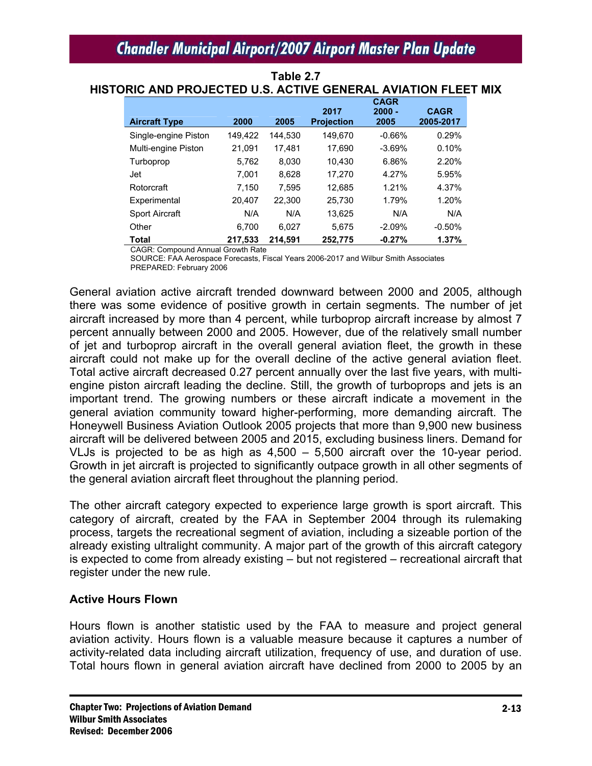|                       |         |         | 2017              | <b>CAGR</b><br>$2000 -$ | <b>CAGR</b> |
|-----------------------|---------|---------|-------------------|-------------------------|-------------|
| <b>Aircraft Type</b>  | 2000    | 2005    | <b>Projection</b> | 2005                    | 2005-2017   |
| Single-engine Piston  | 149,422 | 144.530 | 149,670           | $-0.66%$                | 0.29%       |
| Multi-engine Piston   | 21,091  | 17.481  | 17,690            | $-3.69%$                | 0.10%       |
| Turboprop             | 5.762   | 8.030   | 10,430            | 6.86%                   | 2.20%       |
| Jet                   | 7.001   | 8.628   | 17,270            | 4.27%                   | 5.95%       |
| Rotorcraft            | 7.150   | 7,595   | 12,685            | 1.21%                   | 4.37%       |
| Experimental          | 20.407  | 22.300  | 25,730            | 1.79%                   | 1.20%       |
| <b>Sport Aircraft</b> | N/A     | N/A     | 13,625            | N/A                     | N/A         |
| Other                 | 6.700   | 6.027   | 5.675             | $-2.09%$                | $-0.50%$    |
| <b>Total</b>          | 217.533 | 214.591 | 252.775           | $-0.27%$                | 1.37%       |

**Table 2.7 HISTORIC AND PROJECTED U.S. ACTIVE GENERAL AVIATION FLEET MIX** 

CAGR: Compound Annual Growth Rate

SOURCE: FAA Aerospace Forecasts, Fiscal Years 2006-2017 and Wilbur Smith Associates PREPARED: February 2006

General aviation active aircraft trended downward between 2000 and 2005, although there was some evidence of positive growth in certain segments. The number of jet aircraft increased by more than 4 percent, while turboprop aircraft increase by almost 7 percent annually between 2000 and 2005. However, due of the relatively small number of jet and turboprop aircraft in the overall general aviation fleet, the growth in these aircraft could not make up for the overall decline of the active general aviation fleet. Total active aircraft decreased 0.27 percent annually over the last five years, with multiengine piston aircraft leading the decline. Still, the growth of turboprops and jets is an important trend. The growing numbers or these aircraft indicate a movement in the general aviation community toward higher-performing, more demanding aircraft. The Honeywell Business Aviation Outlook 2005 projects that more than 9,900 new business aircraft will be delivered between 2005 and 2015, excluding business liners. Demand for VLJs is projected to be as high as  $4,500 - 5,500$  aircraft over the 10-year period. Growth in jet aircraft is projected to significantly outpace growth in all other segments of the general aviation aircraft fleet throughout the planning period.

The other aircraft category expected to experience large growth is sport aircraft. This category of aircraft, created by the FAA in September 2004 through its rulemaking process, targets the recreational segment of aviation, including a sizeable portion of the already existing ultralight community. A major part of the growth of this aircraft category is expected to come from already existing – but not registered – recreational aircraft that register under the new rule.

### **Active Hours Flown**

Hours flown is another statistic used by the FAA to measure and project general aviation activity. Hours flown is a valuable measure because it captures a number of activity-related data including aircraft utilization, frequency of use, and duration of use. Total hours flown in general aviation aircraft have declined from 2000 to 2005 by an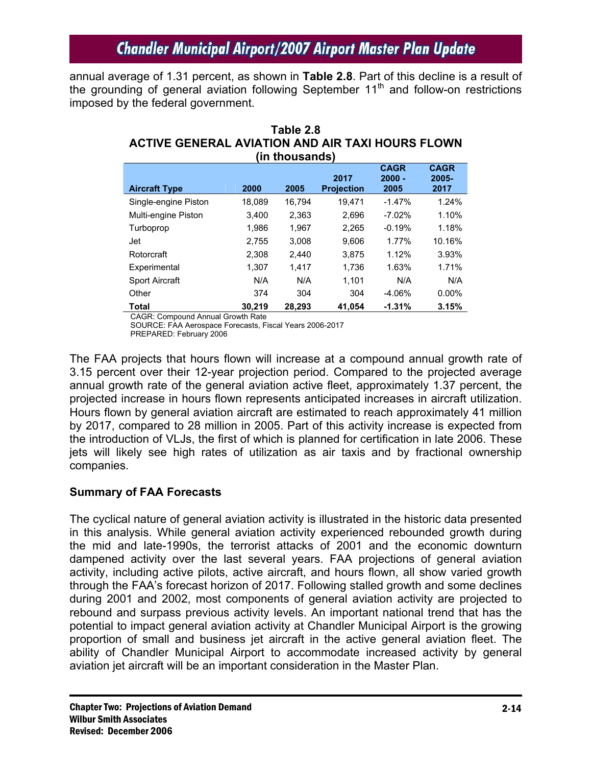annual average of 1.31 percent, as shown in **Table 2.8**. Part of this decline is a result of the grounding of general aviation following September  $11<sup>th</sup>$  and follow-on restrictions imposed by the federal government.

| (in thousands)        |        |        |                           |                                 |                              |  |  |  |
|-----------------------|--------|--------|---------------------------|---------------------------------|------------------------------|--|--|--|
| <b>Aircraft Type</b>  | 2000   | 2005   | 2017<br><b>Projection</b> | <b>CAGR</b><br>$2000 -$<br>2005 | <b>CAGR</b><br>2005-<br>2017 |  |  |  |
| Single-engine Piston  | 18,089 | 16,794 | 19.471                    | $-1.47%$                        | 1.24%                        |  |  |  |
| Multi-engine Piston   | 3.400  | 2,363  | 2.696                     | $-7.02%$                        | 1.10%                        |  |  |  |
| Turboprop             | 1,986  | 1,967  | 2,265                     | $-0.19%$                        | 1.18%                        |  |  |  |
| Jet                   | 2,755  | 3.008  | 9.606                     | 1.77%                           | 10.16%                       |  |  |  |
| Rotorcraft            | 2.308  | 2.440  | 3.875                     | 1.12%                           | 3.93%                        |  |  |  |
| Experimental          | 1.307  | 1.417  | 1.736                     | 1.63%                           | 1.71%                        |  |  |  |
| <b>Sport Aircraft</b> | N/A    | N/A    | 1.101                     | N/A                             | N/A                          |  |  |  |
| Other                 | 374    | 304    | 304                       | $-4.06%$                        | $0.00\%$                     |  |  |  |
| Total                 | 30,219 | 28,293 | 41.054                    | $-1.31%$                        | 3.15%                        |  |  |  |

**ACTIVE GENERAL AVIATION AND AIR TAXI HOURS FLOWN** 

**Table 2.8** 

CAGR: Compound Annual Growth Rate SOURCE: FAA Aerospace Forecasts, Fiscal Years 2006-2017

PREPARED: February 2006

The FAA projects that hours flown will increase at a compound annual growth rate of 3.15 percent over their 12-year projection period. Compared to the projected average annual growth rate of the general aviation active fleet, approximately 1.37 percent, the projected increase in hours flown represents anticipated increases in aircraft utilization. Hours flown by general aviation aircraft are estimated to reach approximately 41 million by 2017, compared to 28 million in 2005. Part of this activity increase is expected from the introduction of VLJs, the first of which is planned for certification in late 2006. These jets will likely see high rates of utilization as air taxis and by fractional ownership companies.

### **Summary of FAA Forecasts**

The cyclical nature of general aviation activity is illustrated in the historic data presented in this analysis. While general aviation activity experienced rebounded growth during the mid and late-1990s, the terrorist attacks of 2001 and the economic downturn dampened activity over the last several years. FAA projections of general aviation activity, including active pilots, active aircraft, and hours flown, all show varied growth through the FAA's forecast horizon of 2017. Following stalled growth and some declines during 2001 and 2002, most components of general aviation activity are projected to rebound and surpass previous activity levels. An important national trend that has the potential to impact general aviation activity at Chandler Municipal Airport is the growing proportion of small and business jet aircraft in the active general aviation fleet. The ability of Chandler Municipal Airport to accommodate increased activity by general aviation jet aircraft will be an important consideration in the Master Plan.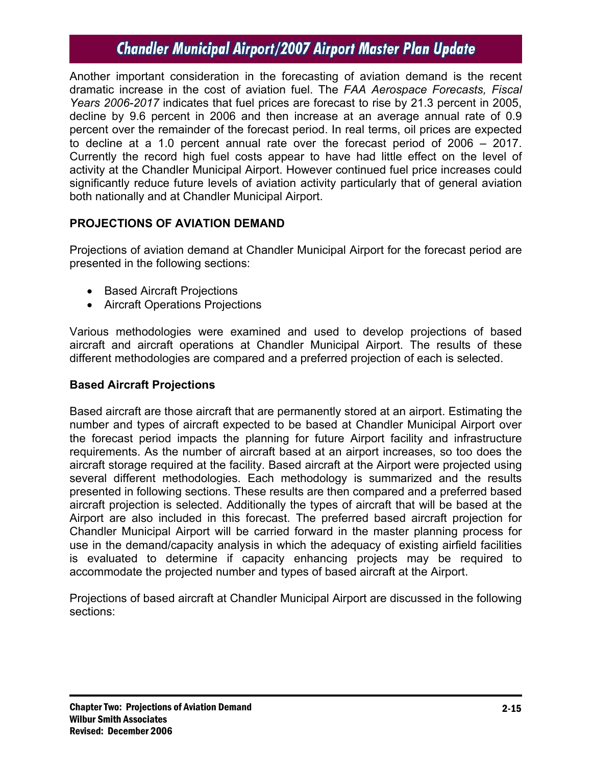Another important consideration in the forecasting of aviation demand is the recent dramatic increase in the cost of aviation fuel. The *FAA Aerospace Forecasts, Fiscal Years 2006-2017* indicates that fuel prices are forecast to rise by 21.3 percent in 2005, decline by 9.6 percent in 2006 and then increase at an average annual rate of 0.9 percent over the remainder of the forecast period. In real terms, oil prices are expected to decline at a 1.0 percent annual rate over the forecast period of 2006 – 2017. Currently the record high fuel costs appear to have had little effect on the level of activity at the Chandler Municipal Airport. However continued fuel price increases could significantly reduce future levels of aviation activity particularly that of general aviation both nationally and at Chandler Municipal Airport.

### **PROJECTIONS OF AVIATION DEMAND**

Projections of aviation demand at Chandler Municipal Airport for the forecast period are presented in the following sections:

- Based Aircraft Projections
- Aircraft Operations Projections

Various methodologies were examined and used to develop projections of based aircraft and aircraft operations at Chandler Municipal Airport. The results of these different methodologies are compared and a preferred projection of each is selected.

### **Based Aircraft Projections**

Based aircraft are those aircraft that are permanently stored at an airport. Estimating the number and types of aircraft expected to be based at Chandler Municipal Airport over the forecast period impacts the planning for future Airport facility and infrastructure requirements. As the number of aircraft based at an airport increases, so too does the aircraft storage required at the facility. Based aircraft at the Airport were projected using several different methodologies. Each methodology is summarized and the results presented in following sections. These results are then compared and a preferred based aircraft projection is selected. Additionally the types of aircraft that will be based at the Airport are also included in this forecast. The preferred based aircraft projection for Chandler Municipal Airport will be carried forward in the master planning process for use in the demand/capacity analysis in which the adequacy of existing airfield facilities is evaluated to determine if capacity enhancing projects may be required to accommodate the projected number and types of based aircraft at the Airport.

Projections of based aircraft at Chandler Municipal Airport are discussed in the following sections: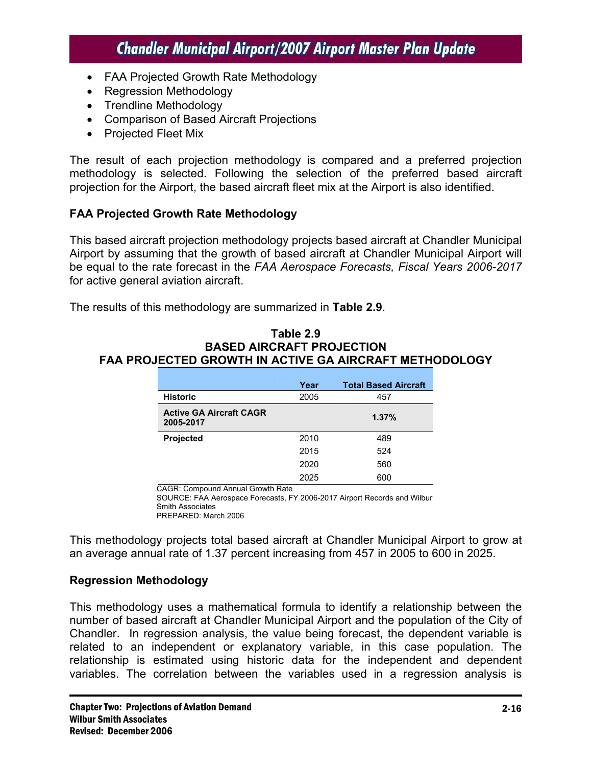- FAA Projected Growth Rate Methodology
- Regression Methodology
- Trendline Methodology
- Comparison of Based Aircraft Projections
- Projected Fleet Mix

The result of each projection methodology is compared and a preferred projection methodology is selected. Following the selection of the preferred based aircraft projection for the Airport, the based aircraft fleet mix at the Airport is also identified.

#### **FAA Projected Growth Rate Methodology**

This based aircraft projection methodology projects based aircraft at Chandler Municipal Airport by assuming that the growth of based aircraft at Chandler Municipal Airport will be equal to the rate forecast in the *FAA Aerospace Forecasts, Fiscal Years 2006-2017* for active general aviation aircraft.

The results of this methodology are summarized in **Table 2.9**.

#### **Table 2.9 BASED AIRCRAFT PROJECTION FAA PROJECTED GROWTH IN ACTIVE GA AIRCRAFT METHODOLOGY**

|                                             | Year | <b>Total Based Aircraft</b> |
|---------------------------------------------|------|-----------------------------|
| <b>Historic</b>                             | 2005 | 457                         |
| <b>Active GA Aircraft CAGR</b><br>2005-2017 |      | 1.37%                       |
| Projected                                   | 2010 | 489                         |
|                                             | 2015 | 524                         |
|                                             | 2020 | 560                         |
|                                             | 2025 | 600                         |

CAGR: Compound Annual Growth Rate

SOURCE: FAA Aerospace Forecasts, FY 2006-2017 Airport Records and Wilbur Smith Associates PREPARED: March 2006

This methodology projects total based aircraft at Chandler Municipal Airport to grow at an average annual rate of 1.37 percent increasing from 457 in 2005 to 600 in 2025.

#### **Regression Methodology**

This methodology uses a mathematical formula to identify a relationship between the number of based aircraft at Chandler Municipal Airport and the population of the City of Chandler. In regression analysis, the value being forecast, the dependent variable is related to an independent or explanatory variable, in this case population. The relationship is estimated using historic data for the independent and dependent variables. The correlation between the variables used in a regression analysis is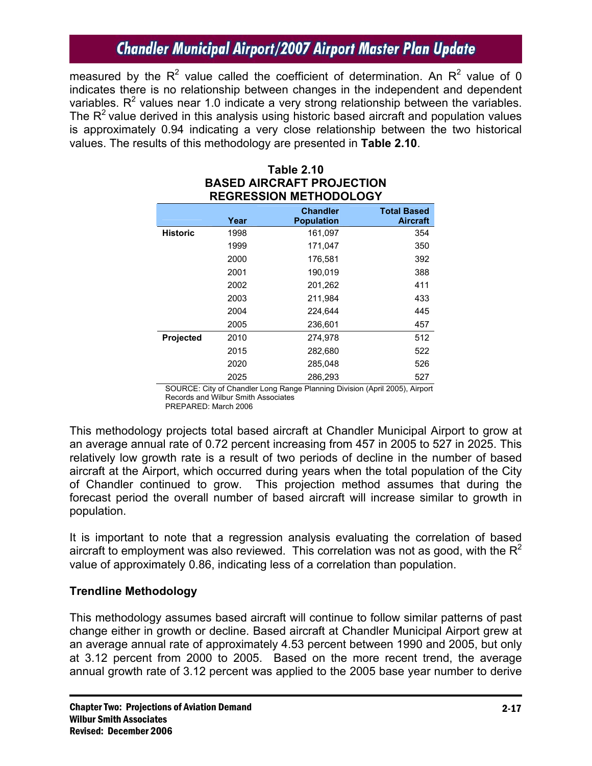measured by the R<sup>2</sup> value called the coefficient of determination. An R<sup>2</sup> value of 0 indicates there is no relationship between changes in the independent and dependent variables.  $R^2$  values near 1.0 indicate a very strong relationship between the variables. The  $R<sup>2</sup>$  value derived in this analysis using historic based aircraft and population values is approximately 0.94 indicating a very close relationship between the two historical values. The results of this methodology are presented in **Table 2.10**.

| INLUNLUUIUN MLITIUDULUUT |      |                                      |                                       |  |  |  |
|--------------------------|------|--------------------------------------|---------------------------------------|--|--|--|
|                          | Year | <b>Chandler</b><br><b>Population</b> | <b>Total Based</b><br><b>Aircraft</b> |  |  |  |
| <b>Historic</b>          | 1998 | 161,097                              | 354                                   |  |  |  |
|                          | 1999 | 171,047                              | 350                                   |  |  |  |
|                          | 2000 | 176,581                              | 392                                   |  |  |  |
|                          | 2001 | 190,019                              | 388                                   |  |  |  |
|                          | 2002 | 201,262                              | 411                                   |  |  |  |
|                          | 2003 | 211,984                              | 433                                   |  |  |  |
|                          | 2004 | 224,644                              | 445                                   |  |  |  |
|                          | 2005 | 236,601                              | 457                                   |  |  |  |
| <b>Projected</b>         | 2010 | 274,978                              | 512                                   |  |  |  |
|                          | 2015 | 282,680                              | 522                                   |  |  |  |
|                          | 2020 | 285,048                              | 526                                   |  |  |  |
|                          | 2025 | 286,293                              | 527                                   |  |  |  |

#### **Table 2.10 BASED AIRCRAFT PROJECTION REGRESSION METHODOLOGY**

SOURCE: City of Chandler Long Range Planning Division (April 2005), Airport Records and Wilbur Smith Associates PREPARED: March 2006

This methodology projects total based aircraft at Chandler Municipal Airport to grow at an average annual rate of 0.72 percent increasing from 457 in 2005 to 527 in 2025. This relatively low growth rate is a result of two periods of decline in the number of based aircraft at the Airport, which occurred during years when the total population of the City of Chandler continued to grow. This projection method assumes that during the forecast period the overall number of based aircraft will increase similar to growth in population.

It is important to note that a regression analysis evaluating the correlation of based aircraft to employment was also reviewed. This correlation was not as good, with the  $R^2$ value of approximately 0.86, indicating less of a correlation than population.

### **Trendline Methodology**

This methodology assumes based aircraft will continue to follow similar patterns of past change either in growth or decline. Based aircraft at Chandler Municipal Airport grew at an average annual rate of approximately 4.53 percent between 1990 and 2005, but only at 3.12 percent from 2000 to 2005. Based on the more recent trend, the average annual growth rate of 3.12 percent was applied to the 2005 base year number to derive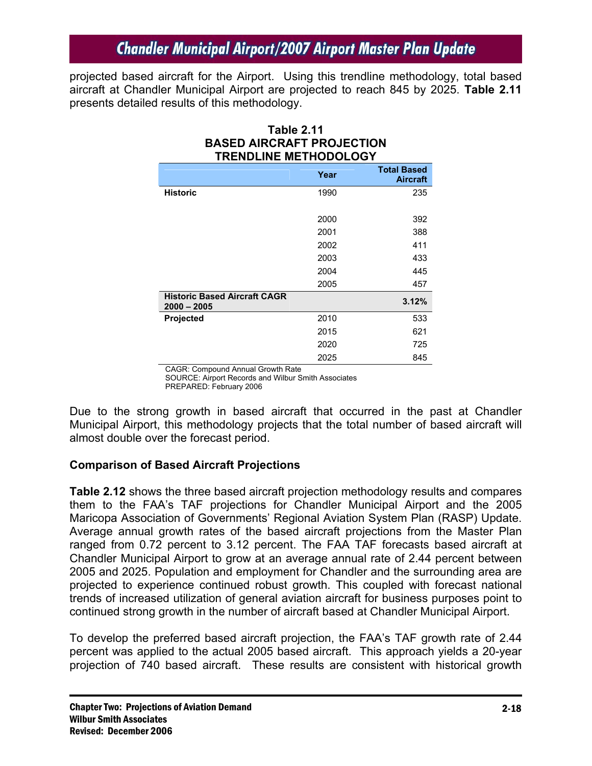projected based aircraft for the Airport. Using this trendline methodology, total based aircraft at Chandler Municipal Airport are projected to reach 845 by 2025. **Table 2.11** presents detailed results of this methodology.

**Table 2.11** 

| <b>BASED AIRCRAFT PROJECTION</b><br><b>TRENDLINE METHODOLOGY</b> |      |                                       |  |  |  |  |
|------------------------------------------------------------------|------|---------------------------------------|--|--|--|--|
|                                                                  | Year | <b>Total Based</b><br><b>Aircraft</b> |  |  |  |  |
| <b>Historic</b>                                                  | 1990 | 235                                   |  |  |  |  |
|                                                                  | 2000 | 392                                   |  |  |  |  |
|                                                                  | 2001 | 388                                   |  |  |  |  |
|                                                                  | 2002 | 411                                   |  |  |  |  |
|                                                                  | 2003 | 433                                   |  |  |  |  |
|                                                                  | 2004 | 445                                   |  |  |  |  |
|                                                                  | 2005 | 457                                   |  |  |  |  |
| <b>Historic Based Aircraft CAGR</b><br>$2000 - 2005$             |      | 3.12%                                 |  |  |  |  |
| <b>Projected</b>                                                 | 2010 | 533                                   |  |  |  |  |
|                                                                  | 2015 | 621                                   |  |  |  |  |
|                                                                  | 2020 | 725                                   |  |  |  |  |
|                                                                  | 2025 | 845                                   |  |  |  |  |

CAGR: Compound Annual Growth Rate

SOURCE: Airport Records and Wilbur Smith Associates PREPARED: February 2006

Due to the strong growth in based aircraft that occurred in the past at Chandler Municipal Airport, this methodology projects that the total number of based aircraft will almost double over the forecast period.

### **Comparison of Based Aircraft Projections**

**Table 2.12** shows the three based aircraft projection methodology results and compares them to the FAA's TAF projections for Chandler Municipal Airport and the 2005 Maricopa Association of Governments' Regional Aviation System Plan (RASP) Update. Average annual growth rates of the based aircraft projections from the Master Plan ranged from 0.72 percent to 3.12 percent. The FAA TAF forecasts based aircraft at Chandler Municipal Airport to grow at an average annual rate of 2.44 percent between 2005 and 2025. Population and employment for Chandler and the surrounding area are projected to experience continued robust growth. This coupled with forecast national trends of increased utilization of general aviation aircraft for business purposes point to continued strong growth in the number of aircraft based at Chandler Municipal Airport.

To develop the preferred based aircraft projection, the FAA's TAF growth rate of 2.44 percent was applied to the actual 2005 based aircraft. This approach yields a 20-year projection of 740 based aircraft. These results are consistent with historical growth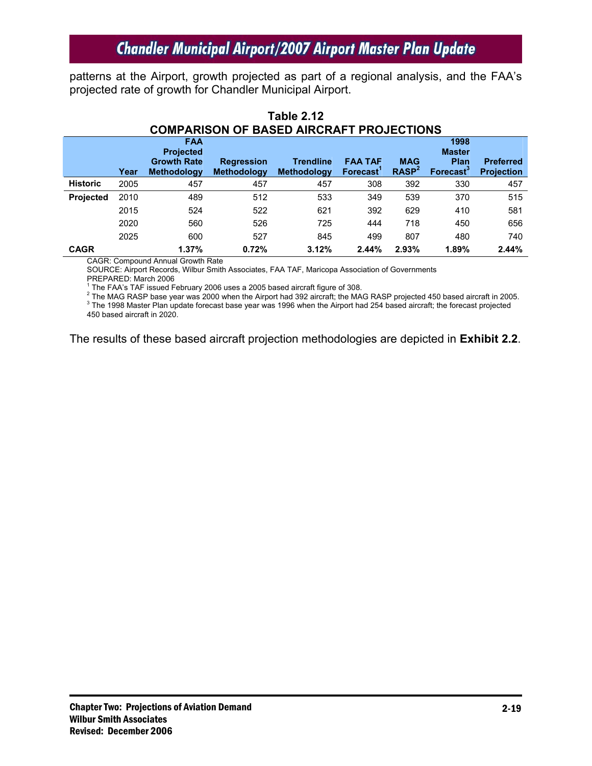patterns at the Airport, growth projected as part of a regional analysis, and the FAA's projected rate of growth for Chandler Municipal Airport.

|      | <b>FAA</b><br><b>Projected</b> |                    |                    |                    |                       | 1998<br><b>Master</b> |                                       |
|------|--------------------------------|--------------------|--------------------|--------------------|-----------------------|-----------------------|---------------------------------------|
|      | <b>Growth Rate</b>             | <b>Regression</b>  | <b>Trendline</b>   | <b>FAA TAF</b>     | <b>MAG</b>            | <b>Plan</b>           | <b>Preferred</b><br><b>Projection</b> |
|      |                                |                    |                    |                    |                       |                       |                                       |
| 2005 | 457                            | 457                | 457                | 308                | 392                   | 330                   | 457                                   |
| 2010 | 489                            | 512                | 533                | 349                | 539                   | 370                   | 515                                   |
| 2015 | 524                            | 522                | 621                | 392                | 629                   | 410                   | 581                                   |
| 2020 | 560                            | 526                | 725                | 444                | 718                   | 450                   | 656                                   |
| 2025 | 600                            | 527                | 845                | 499                | 807                   | 480                   | 740                                   |
|      | 1.37%                          | 0.72%              | 3.12%              | 2.44%              | 2.93%                 | 1.89%                 | 2.44%                                 |
|      | Year                           | <b>Methodology</b> | <b>Methodology</b> | <b>Methodology</b> | Forecast <sup>1</sup> | RASP <sup>2</sup>     | <b>Forecast</b> <sup>3</sup>          |

#### **Table 2.12 COMPARISON OF BASED AIRCRAFT PROJECTIONS**

CAGR: Compound Annual Growth Rate

SOURCE: Airport Records, Wilbur Smith Associates, FAA TAF, Maricopa Association of Governments PREPARED: March 2006

<sup>1</sup> The FAA's TAF issued February 2006 uses a 2005 based aircraft figure of 308.<br><sup>2</sup> The MAC BASB base veet was 2000 when the Airport had 202 eireraft: the MAC The MAG RASP base year was 2000 when the Airport had 392 aircraft; the MAG RASP projected 450 based aircraft in 2005.

<sup>3</sup> The 1998 Master Plan update forecast base year was 1996 when the Airport had 254 based aircraft; the forecast projected

450 based aircraft in 2020.

The results of these based aircraft projection methodologies are depicted in **Exhibit 2.2**.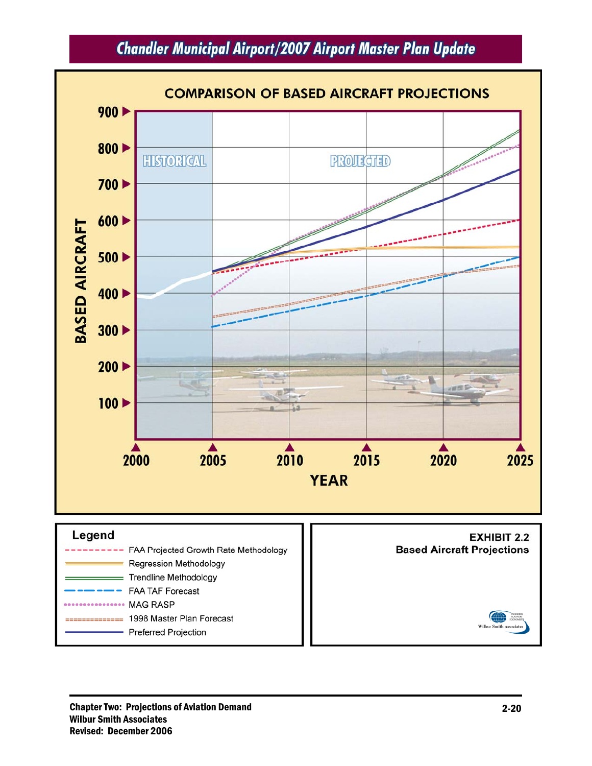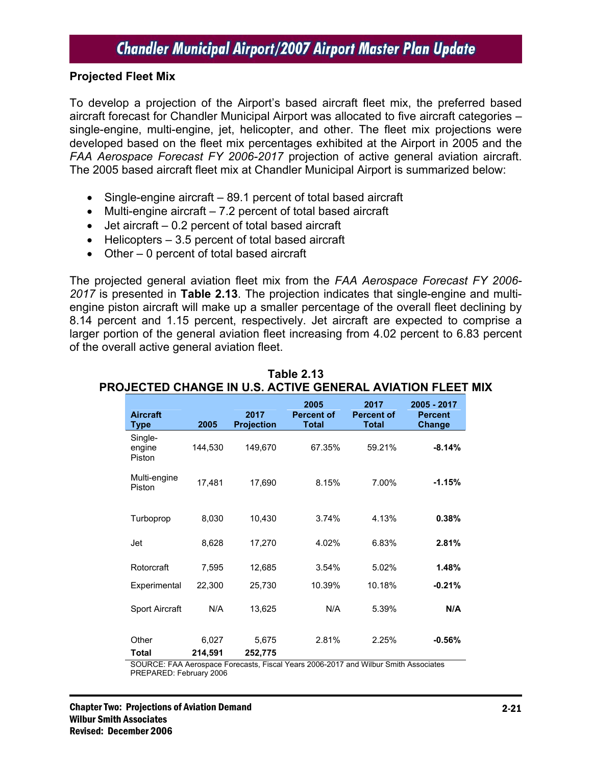#### **Projected Fleet Mix**

To develop a projection of the Airport's based aircraft fleet mix, the preferred based aircraft forecast for Chandler Municipal Airport was allocated to five aircraft categories – single-engine, multi-engine, jet, helicopter, and other. The fleet mix projections were developed based on the fleet mix percentages exhibited at the Airport in 2005 and the *FAA Aerospace Forecast FY 2006-2017* projection of active general aviation aircraft. The 2005 based aircraft fleet mix at Chandler Municipal Airport is summarized below:

- Single-engine aircraft 89.1 percent of total based aircraft
- Multi-engine aircraft 7.2 percent of total based aircraft
- Jet aircraft 0.2 percent of total based aircraft
- Helicopters 3.5 percent of total based aircraft
- Other 0 percent of total based aircraft

The projected general aviation fleet mix from the *FAA Aerospace Forecast FY 2006- 2017* is presented in **Table 2.13**. The projection indicates that single-engine and multiengine piston aircraft will make up a smaller percentage of the overall fleet declining by 8.14 percent and 1.15 percent, respectively. Jet aircraft are expected to comprise a larger portion of the general aviation fleet increasing from 4.02 percent to 6.83 percent of the overall active general aviation fleet.

| <b>Aircraft</b><br>Type     | 2005             | 2017<br><b>Projection</b> | 2005<br><b>Percent of</b><br><b>Total</b> | 2017<br><b>Percent of</b><br><b>Total</b> | 2005 - 2017<br><b>Percent</b><br><b>Change</b> |
|-----------------------------|------------------|---------------------------|-------------------------------------------|-------------------------------------------|------------------------------------------------|
| Single-<br>engine<br>Piston | 144,530          | 149,670                   | 67.35%                                    | 59.21%                                    | $-8.14%$                                       |
| Multi-engine<br>Piston      | 17,481           | 17,690                    | 8.15%                                     | 7.00%                                     | $-1.15%$                                       |
| Turboprop                   | 8,030            | 10,430                    | 3.74%                                     | 4.13%                                     | 0.38%                                          |
| Jet                         | 8,628            | 17,270                    | 4.02%                                     | 6.83%                                     | 2.81%                                          |
| Rotorcraft                  | 7,595            | 12,685                    | 3.54%                                     | 5.02%                                     | 1.48%                                          |
| Experimental                | 22,300           | 25,730                    | 10.39%                                    | 10.18%                                    | $-0.21%$                                       |
| <b>Sport Aircraft</b>       | N/A              | 13,625                    | N/A                                       | 5.39%                                     | N/A                                            |
| Other<br>Total              | 6,027<br>214,591 | 5,675<br>252,775          | 2.81%                                     | 2.25%                                     | $-0.56%$                                       |

#### **Table 2.13 PROJECTED CHANGE IN U.S. ACTIVE GENERAL AVIATION FLEET MIX**

SOURCE: FAA Aerospace Forecasts, Fiscal Years 2006-2017 and Wilbur Smith Associates PREPARED: February 2006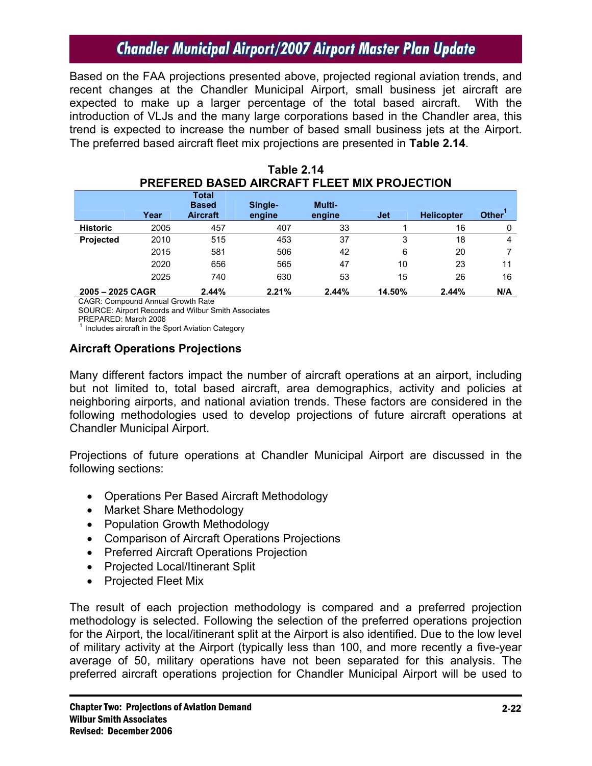Based on the FAA projections presented above, projected regional aviation trends, and recent changes at the Chandler Municipal Airport, small business jet aircraft are expected to make up a larger percentage of the total based aircraft. With the introduction of VLJs and the many large corporations based in the Chandler area, this trend is expected to increase the number of based small business jets at the Airport. The preferred based aircraft fleet mix projections are presented in **Table 2.14**.

|                  | FREFERED DASED AIRURAFT FLEET MIA FRUJEUTIUN |                                          |                   |                  |            |                   |                    |
|------------------|----------------------------------------------|------------------------------------------|-------------------|------------------|------------|-------------------|--------------------|
|                  | Year                                         | Total<br><b>Based</b><br><b>Aircraft</b> | Single-<br>engine | Multi-<br>engine | <b>Jet</b> | <b>Helicopter</b> | Other <sup>1</sup> |
| <b>Historic</b>  | 2005                                         | 457                                      | 407               | 33               |            | 16                | 0                  |
| <b>Projected</b> | 2010                                         | 515                                      | 453               | 37               | 3          | 18                | 4                  |
|                  | 2015                                         | 581                                      | 506               | 42               | 6          | 20                |                    |
|                  | 2020                                         | 656                                      | 565               | 47               | 10         | 23                | 11                 |
|                  | 2025                                         | 740                                      | 630               | 53               | 15         | 26                | 16                 |
| 2005 - 2025 CAGR |                                              | 2.44%                                    | 2.21%             | 2.44%            | 14.50%     | 2.44%             | N/A                |

| Table 2.14                                   |
|----------------------------------------------|
| PREFERED BASED AIRCRAFT FLEET MIX PROJECTION |

CAGR: Compound Annual Growth Rate

SOURCE: Airport Records and Wilbur Smith Associates

PREPARED: March 2006

 $1$  Includes aircraft in the Sport Aviation Category

#### **Aircraft Operations Projections**

Many different factors impact the number of aircraft operations at an airport, including but not limited to, total based aircraft, area demographics, activity and policies at neighboring airports, and national aviation trends. These factors are considered in the following methodologies used to develop projections of future aircraft operations at Chandler Municipal Airport.

Projections of future operations at Chandler Municipal Airport are discussed in the following sections:

- Operations Per Based Aircraft Methodology
- Market Share Methodology
- Population Growth Methodology
- Comparison of Aircraft Operations Projections
- Preferred Aircraft Operations Projection
- Projected Local/Itinerant Split
- Projected Fleet Mix

The result of each projection methodology is compared and a preferred projection methodology is selected. Following the selection of the preferred operations projection for the Airport, the local/itinerant split at the Airport is also identified. Due to the low level of military activity at the Airport (typically less than 100, and more recently a five-year average of 50, military operations have not been separated for this analysis. The preferred aircraft operations projection for Chandler Municipal Airport will be used to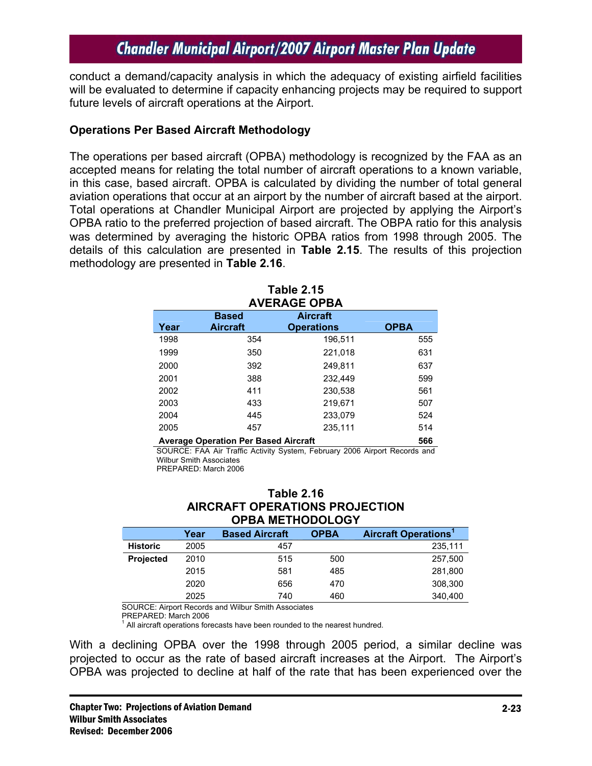conduct a demand/capacity analysis in which the adequacy of existing airfield facilities will be evaluated to determine if capacity enhancing projects may be required to support future levels of aircraft operations at the Airport.

#### **Operations Per Based Aircraft Methodology**

The operations per based aircraft (OPBA) methodology is recognized by the FAA as an accepted means for relating the total number of aircraft operations to a known variable, in this case, based aircraft. OPBA is calculated by dividing the number of total general aviation operations that occur at an airport by the number of aircraft based at the airport. Total operations at Chandler Municipal Airport are projected by applying the Airport's OPBA ratio to the preferred projection of based aircraft. The OBPA ratio for this analysis was determined by averaging the historic OPBA ratios from 1998 through 2005. The details of this calculation are presented in **Table 2.15**. The results of this projection methodology are presented in **Table 2.16**.

| Table 2.15<br><b>AVERAGE OPBA</b> |                                 |                                      |             |  |  |
|-----------------------------------|---------------------------------|--------------------------------------|-------------|--|--|
| Year                              | <b>Based</b><br><b>Aircraft</b> | <b>Aircraft</b><br><b>Operations</b> | <b>OPBA</b> |  |  |
| 1998                              | 354                             | 196,511                              | 555         |  |  |
| 1999                              | 350                             | 221,018                              | 631         |  |  |
| 2000                              | 392                             | 249.811                              | 637         |  |  |
| 2001                              | 388                             | 232.449                              | 599         |  |  |
| 2002                              | 411                             | 230.538                              | 561         |  |  |
| 2003                              | 433                             | 219,671                              | 507         |  |  |
| 2004                              | 445                             | 233,079                              | 524         |  |  |
| 2005                              | 457                             | 235.111                              | 514         |  |  |
|                                   |                                 |                                      |             |  |  |

**Table 2.15** 

**Average Operation Per Based Aircraft 566** 

SOURCE: FAA Air Traffic Activity System, February 2006 Airport Records and Wilbur Smith Associates PREPARED: March 2006

#### **Table 2.16 AIRCRAFT OPERATIONS PROJECTION OPBA METHODOLOGY**

|                  | Year | <b>Based Aircraft</b> | <b>OPBA</b> | <b>Aircraft Operations<sup>1</sup></b> |
|------------------|------|-----------------------|-------------|----------------------------------------|
| <b>Historic</b>  | 2005 | 457                   |             | 235,111                                |
| <b>Projected</b> | 2010 | 515                   | 500         | 257,500                                |
|                  | 2015 | 581                   | 485         | 281,800                                |
|                  | 2020 | 656                   | 470         | 308,300                                |
|                  | 2025 | 740                   | 460         | 340,400                                |

SOURCE: Airport Records and Wilbur Smith Associates

PREPARED: March 2006

 $1$  All aircraft operations forecasts have been rounded to the nearest hundred.

With a declining OPBA over the 1998 through 2005 period, a similar decline was projected to occur as the rate of based aircraft increases at the Airport. The Airport's OPBA was projected to decline at half of the rate that has been experienced over the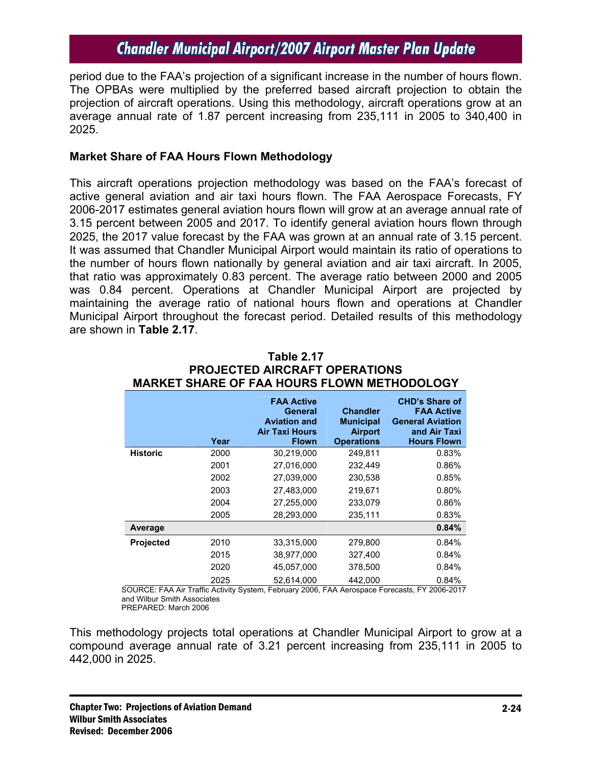period due to the FAA's projection of a significant increase in the number of hours flown. The OPBAs were multiplied by the preferred based aircraft projection to obtain the projection of aircraft operations. Using this methodology, aircraft operations grow at an average annual rate of 1.87 percent increasing from 235,111 in 2005 to 340,400 in 2025.

#### **Market Share of FAA Hours Flown Methodology**

This aircraft operations projection methodology was based on the FAA's forecast of active general aviation and air taxi hours flown. The FAA Aerospace Forecasts, FY 2006-2017 estimates general aviation hours flown will grow at an average annual rate of 3.15 percent between 2005 and 2017. To identify general aviation hours flown through 2025, the 2017 value forecast by the FAA was grown at an annual rate of 3.15 percent. It was assumed that Chandler Municipal Airport would maintain its ratio of operations to the number of hours flown nationally by general aviation and air taxi aircraft. In 2005, that ratio was approximately 0.83 percent. The average ratio between 2000 and 2005 was 0.84 percent. Operations at Chandler Municipal Airport are projected by maintaining the average ratio of national hours flown and operations at Chandler Municipal Airport throughout the forecast period. Detailed results of this methodology are shown in **Table 2.17**.

| <b>MARKET SHARE OF FAA HOURS FLOWN METHODOLOGY</b> |      |                                                                                              |                                                                            |                                                                                                             |
|----------------------------------------------------|------|----------------------------------------------------------------------------------------------|----------------------------------------------------------------------------|-------------------------------------------------------------------------------------------------------------|
|                                                    | Year | <b>FAA Active</b><br>General<br><b>Aviation and</b><br><b>Air Taxi Hours</b><br><b>Flown</b> | <b>Chandler</b><br><b>Municipal</b><br><b>Airport</b><br><b>Operations</b> | <b>CHD's Share of</b><br><b>FAA Active</b><br><b>General Aviation</b><br>and Air Taxi<br><b>Hours Flown</b> |
| <b>Historic</b>                                    | 2000 | 30,219,000                                                                                   | 249,811                                                                    | 0.83%                                                                                                       |
|                                                    | 2001 | 27,016,000                                                                                   | 232,449                                                                    | 0.86%                                                                                                       |
|                                                    | 2002 | 27,039,000                                                                                   | 230,538                                                                    | 0.85%                                                                                                       |
|                                                    | 2003 | 27,483,000                                                                                   | 219,671                                                                    | 0.80%                                                                                                       |
|                                                    | 2004 | 27,255,000                                                                                   | 233,079                                                                    | 0.86%                                                                                                       |
|                                                    | 2005 | 28,293,000                                                                                   | 235,111                                                                    | 0.83%                                                                                                       |
| Average                                            |      |                                                                                              |                                                                            | 0.84%                                                                                                       |
| <b>Projected</b>                                   | 2010 | 33,315,000                                                                                   | 279,800                                                                    | 0.84%                                                                                                       |
|                                                    | 2015 | 38,977,000                                                                                   | 327,400                                                                    | 0.84%                                                                                                       |
|                                                    | 2020 | 45,057,000                                                                                   | 378,500                                                                    | 0.84%                                                                                                       |
|                                                    | 2025 | 52,614,000                                                                                   | 442,000                                                                    | 0.84%                                                                                                       |

# **Table 2.17 PROJECTED AIRCRAFT OPERATIONS**

 SOURCE: FAA Air Traffic Activity System, February 2006, FAA Aerospace Forecasts, FY 2006-2017 and Wilbur Smith Associates

PREPARED: March 2006

This methodology projects total operations at Chandler Municipal Airport to grow at a compound average annual rate of 3.21 percent increasing from 235,111 in 2005 to 442,000 in 2025.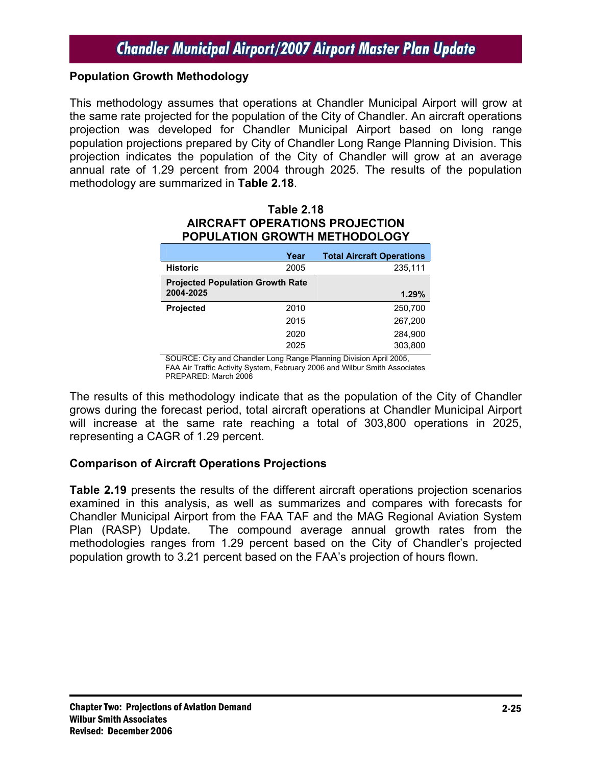#### **Population Growth Methodology**

This methodology assumes that operations at Chandler Municipal Airport will grow at the same rate projected for the population of the City of Chandler. An aircraft operations projection was developed for Chandler Municipal Airport based on long range population projections prepared by City of Chandler Long Range Planning Division. This projection indicates the population of the City of Chandler will grow at an average annual rate of 1.29 percent from 2004 through 2025. The results of the population methodology are summarized in **Table 2.18**.

#### **Table 2.18 AIRCRAFT OPERATIONS PROJECTION POPULATION GROWTH METHODOLOGY**

|                                         | Year | <b>Total Aircraft Operations</b> |
|-----------------------------------------|------|----------------------------------|
| <b>Historic</b>                         | 2005 | 235,111                          |
| <b>Projected Population Growth Rate</b> |      |                                  |
| 2004-2025                               |      | 1.29%                            |
| <b>Projected</b>                        | 2010 | 250,700                          |
|                                         | 2015 | 267,200                          |
|                                         | 2020 | 284.900                          |
|                                         | 2025 | 303.800                          |

SOURCE: City and Chandler Long Range Planning Division April 2005, FAA Air Traffic Activity System, February 2006 and Wilbur Smith Associates PREPARED: March 2006

The results of this methodology indicate that as the population of the City of Chandler grows during the forecast period, total aircraft operations at Chandler Municipal Airport will increase at the same rate reaching a total of 303,800 operations in 2025, representing a CAGR of 1.29 percent.

### **Comparison of Aircraft Operations Projections**

**Table 2.19** presents the results of the different aircraft operations projection scenarios examined in this analysis, as well as summarizes and compares with forecasts for Chandler Municipal Airport from the FAA TAF and the MAG Regional Aviation System Plan (RASP) Update. The compound average annual growth rates from the methodologies ranges from 1.29 percent based on the City of Chandler's projected population growth to 3.21 percent based on the FAA's projection of hours flown.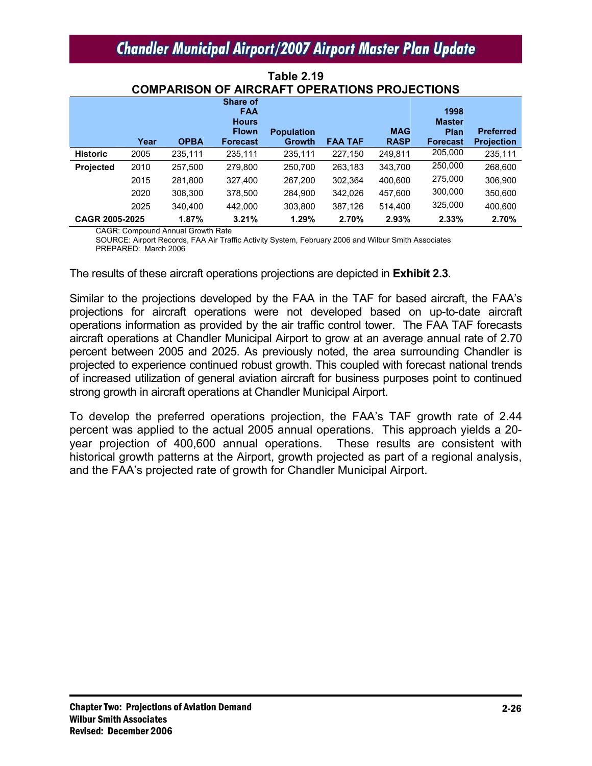|                  | Year | <b>OPBA</b> | Share of<br><b>FAA</b><br><b>Hours</b><br><b>Flown</b><br><b>Forecast</b> | <b>Population</b><br><b>Growth</b> | <b>FAA TAF</b> | <b>MAG</b><br><b>RASP</b> | 1998<br><b>Master</b><br><b>Plan</b><br><b>Forecast</b> | <b>Preferred</b><br><b>Projection</b> |
|------------------|------|-------------|---------------------------------------------------------------------------|------------------------------------|----------------|---------------------------|---------------------------------------------------------|---------------------------------------|
| <b>Historic</b>  | 2005 | 235,111     | 235,111                                                                   | 235,111                            | 227.150        | 249,811                   | 205,000                                                 | 235,111                               |
| <b>Projected</b> | 2010 | 257,500     | 279.800                                                                   | 250.700                            | 263.183        | 343,700                   | 250,000                                                 | 268,600                               |
|                  | 2015 | 281,800     | 327,400                                                                   | 267,200                            | 302,364        | 400.600                   | 275,000                                                 | 306,900                               |
|                  | 2020 | 308,300     | 378,500                                                                   | 284,900                            | 342.026        | 457,600                   | 300,000                                                 | 350,600                               |
|                  | 2025 | 340.400     | 442.000                                                                   | 303.800                            | 387,126        | 514.400                   | 325,000                                                 | 400.600                               |
| CAGR 2005-2025   |      | 1.87%       | 3.21%                                                                     | 1.29%                              | 2.70%          | 2.93%                     | 2.33%                                                   | 2.70%                                 |

**Table 2.19 COMPARISON OF AIRCRAFT OPERATIONS PROJECTIONS** 

CAGR: Compound Annual Growth Rate

SOURCE: Airport Records, FAA Air Traffic Activity System, February 2006 and Wilbur Smith Associates PREPARED: March 2006

The results of these aircraft operations projections are depicted in **Exhibit 2.3**.

Similar to the projections developed by the FAA in the TAF for based aircraft, the FAA's projections for aircraft operations were not developed based on up-to-date aircraft operations information as provided by the air traffic control tower. The FAA TAF forecasts aircraft operations at Chandler Municipal Airport to grow at an average annual rate of 2.70 percent between 2005 and 2025. As previously noted, the area surrounding Chandler is projected to experience continued robust growth. This coupled with forecast national trends of increased utilization of general aviation aircraft for business purposes point to continued strong growth in aircraft operations at Chandler Municipal Airport.

To develop the preferred operations projection, the FAA's TAF growth rate of 2.44 percent was applied to the actual 2005 annual operations. This approach yields a 20 year projection of 400,600 annual operations. These results are consistent with historical growth patterns at the Airport, growth projected as part of a regional analysis, and the FAA's projected rate of growth for Chandler Municipal Airport.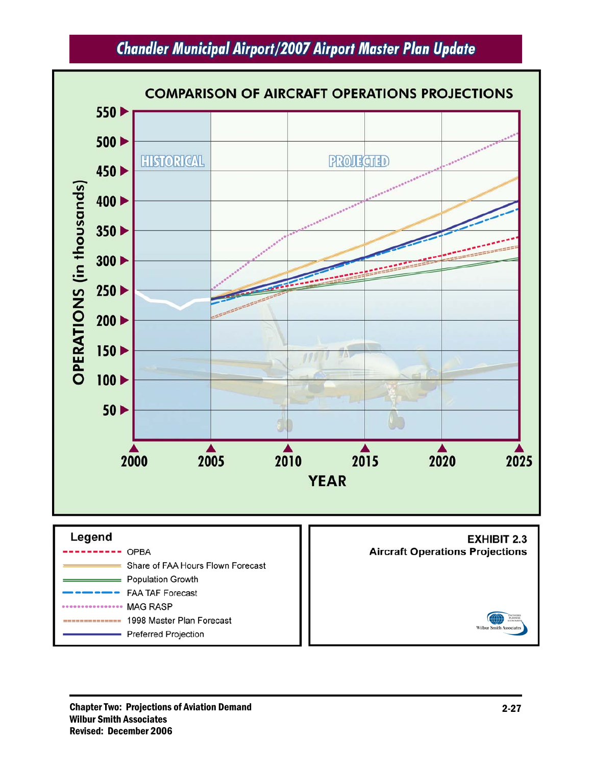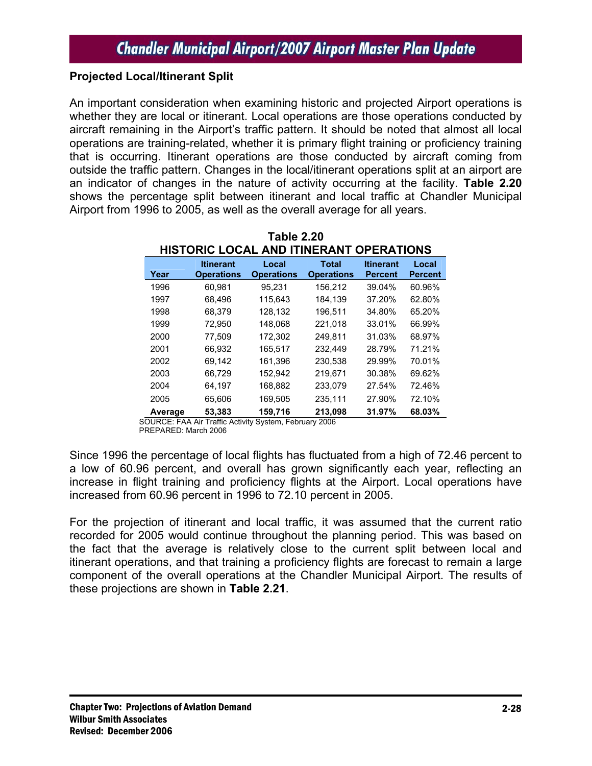### **Projected Local/Itinerant Split**

An important consideration when examining historic and projected Airport operations is whether they are local or itinerant. Local operations are those operations conducted by aircraft remaining in the Airport's traffic pattern. It should be noted that almost all local operations are training-related, whether it is primary flight training or proficiency training that is occurring. Itinerant operations are those conducted by aircraft coming from outside the traffic pattern. Changes in the local/itinerant operations split at an airport are an indicator of changes in the nature of activity occurring at the facility. **Table 2.20** shows the percentage split between itinerant and local traffic at Chandler Municipal Airport from 1996 to 2005, as well as the overall average for all years.

|         | 11191 91119 LOOF<br>шинти             |                            |                                   |                                    |                         |  |
|---------|---------------------------------------|----------------------------|-----------------------------------|------------------------------------|-------------------------|--|
| Year    | <b>Itinerant</b><br><b>Operations</b> | Local<br><b>Operations</b> | <b>Total</b><br><b>Operations</b> | <b>Itinerant</b><br><b>Percent</b> | Local<br><b>Percent</b> |  |
| 1996    | 60,981                                | 95,231                     | 156,212                           | 39.04%                             | 60.96%                  |  |
| 1997    | 68,496                                | 115,643                    | 184,139                           | 37.20%                             | 62.80%                  |  |
| 1998    | 68,379                                | 128,132                    | 196,511                           | 34.80%                             | 65.20%                  |  |
| 1999    | 72.950                                | 148.068                    | 221,018                           | 33.01%                             | 66.99%                  |  |
| 2000    | 77.509                                | 172,302                    | 249.811                           | 31.03%                             | 68.97%                  |  |
| 2001    | 66.932                                | 165.517                    | 232.449                           | 28.79%                             | 71.21%                  |  |
| 2002    | 69.142                                | 161.396                    | 230.538                           | 29.99%                             | 70.01%                  |  |
| 2003    | 66.729                                | 152.942                    | 219.671                           | 30.38%                             | 69.62%                  |  |
| 2004    | 64.197                                | 168,882                    | 233,079                           | 27.54%                             | 72.46%                  |  |
| 2005    | 65.606                                | 169.505                    | 235,111                           | 27.90%                             | 72.10%                  |  |
| Average | 53,383                                | 159,716                    | 213.098                           | 31.97%                             | 68.03%                  |  |

**Table 2.20 HISTORIC LOCAL AND ITINERANT OPERATIONS** 

SOURCE: FAA Air Traffic Activity System, February 2006 PREPARED: March 2006

Since 1996 the percentage of local flights has fluctuated from a high of 72.46 percent to a low of 60.96 percent, and overall has grown significantly each year, reflecting an increase in flight training and proficiency flights at the Airport. Local operations have increased from 60.96 percent in 1996 to 72.10 percent in 2005.

For the projection of itinerant and local traffic, it was assumed that the current ratio recorded for 2005 would continue throughout the planning period. This was based on the fact that the average is relatively close to the current split between local and itinerant operations, and that training a proficiency flights are forecast to remain a large component of the overall operations at the Chandler Municipal Airport. The results of these projections are shown in **Table 2.21**.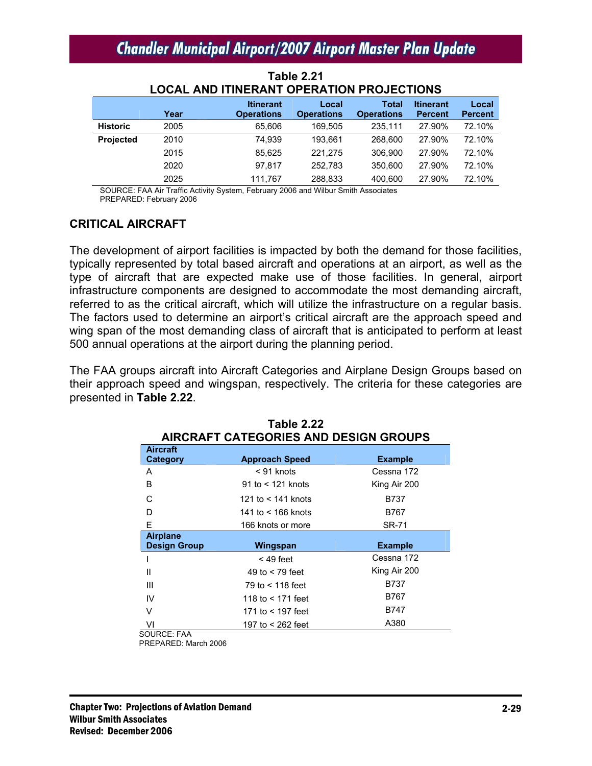|                 |      | LOCAL AND ITINERANT OPERATION PROJECTIONS |                            |                                   |                                    |                         |
|-----------------|------|-------------------------------------------|----------------------------|-----------------------------------|------------------------------------|-------------------------|
|                 | Year | <b>Itinerant</b><br><b>Operations</b>     | Local<br><b>Operations</b> | <b>Total</b><br><b>Operations</b> | <b>Itinerant</b><br><b>Percent</b> | Local<br><b>Percent</b> |
| <b>Historic</b> | 2005 | 65,606                                    | 169.505                    | 235.111                           | 27.90%                             | 72.10%                  |
| Projected       | 2010 | 74.939                                    | 193.661                    | 268,600                           | 27.90%                             | 72.10%                  |
|                 | 2015 | 85.625                                    | 221.275                    | 306,900                           | 27.90%                             | 72.10%                  |
|                 | 2020 | 97.817                                    | 252.783                    | 350,600                           | 27.90%                             | 72.10%                  |
|                 | 2025 | 111.767                                   | 288,833                    | 400,600                           | 27.90%                             | 72.10%                  |

#### **Table 2.21 LOCAL AND ITINERANT OPERATION PROJECTIONS**

 SOURCE: FAA Air Traffic Activity System, February 2006 and Wilbur Smith Associates PREPARED: February 2006

### **CRITICAL AIRCRAFT**

The development of airport facilities is impacted by both the demand for those facilities, typically represented by total based aircraft and operations at an airport, as well as the type of aircraft that are expected make use of those facilities. In general, airport infrastructure components are designed to accommodate the most demanding aircraft, referred to as the critical aircraft, which will utilize the infrastructure on a regular basis. The factors used to determine an airport's critical aircraft are the approach speed and wing span of the most demanding class of aircraft that is anticipated to perform at least 500 annual operations at the airport during the planning period.

The FAA groups aircraft into Aircraft Categories and Airplane Design Groups based on their approach speed and wingspan, respectively. The criteria for these categories are presented in **Table 2.22**.

| <b>AIRCRAFT CATEGORIES AND DESIGN GROUPS</b> |                       |                |  |
|----------------------------------------------|-----------------------|----------------|--|
| <b>Aircraft</b><br><b>Category</b>           | <b>Approach Speed</b> | <b>Example</b> |  |
| A                                            | < 91 knots            | Cessna 172     |  |
| В                                            | 91 to $<$ 121 knots   | King Air 200   |  |
| C                                            | 121 to $<$ 141 knots  | <b>B737</b>    |  |
| D                                            | 141 to $<$ 166 knots  | B767           |  |
| E                                            | 166 knots or more     | <b>SR-71</b>   |  |
| <b>Airplane</b><br><b>Design Group</b>       | Wingspan              | <b>Example</b> |  |
|                                              | $<$ 49 feet           | Cessna 172     |  |
| Ш                                            | 49 to $<$ 79 feet     | King Air 200   |  |
| Ш                                            | 79 to < 118 feet      | B737           |  |
| IV                                           | 118 to $<$ 171 feet   | B767           |  |
| V                                            | 171 to < 197 feet     | B747           |  |
| VI<br>$\sim$                                 | 197 to < 262 feet     | A380           |  |

| Table 2.22                   |  |
|------------------------------|--|
| CATECODIES AND DESIGN COOLIE |  |

SOURCE: FAA

PREPARED: March 2006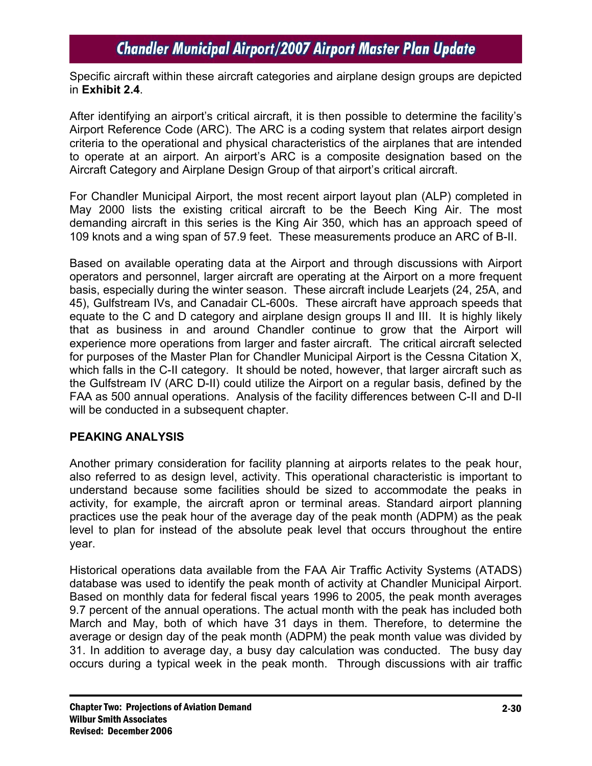Specific aircraft within these aircraft categories and airplane design groups are depicted in **Exhibit 2.4**.

After identifying an airport's critical aircraft, it is then possible to determine the facility's Airport Reference Code (ARC). The ARC is a coding system that relates airport design criteria to the operational and physical characteristics of the airplanes that are intended to operate at an airport. An airport's ARC is a composite designation based on the Aircraft Category and Airplane Design Group of that airport's critical aircraft.

For Chandler Municipal Airport, the most recent airport layout plan (ALP) completed in May 2000 lists the existing critical aircraft to be the Beech King Air. The most demanding aircraft in this series is the King Air 350, which has an approach speed of 109 knots and a wing span of 57.9 feet. These measurements produce an ARC of B-II.

Based on available operating data at the Airport and through discussions with Airport operators and personnel, larger aircraft are operating at the Airport on a more frequent basis, especially during the winter season. These aircraft include Learjets (24, 25A, and 45), Gulfstream IVs, and Canadair CL-600s. These aircraft have approach speeds that equate to the C and D category and airplane design groups II and III. It is highly likely that as business in and around Chandler continue to grow that the Airport will experience more operations from larger and faster aircraft. The critical aircraft selected for purposes of the Master Plan for Chandler Municipal Airport is the Cessna Citation X, which falls in the C-II category. It should be noted, however, that larger aircraft such as the Gulfstream IV (ARC D-II) could utilize the Airport on a regular basis, defined by the FAA as 500 annual operations. Analysis of the facility differences between C-II and D-II will be conducted in a subsequent chapter.

### **PEAKING ANALYSIS**

Another primary consideration for facility planning at airports relates to the peak hour, also referred to as design level, activity. This operational characteristic is important to understand because some facilities should be sized to accommodate the peaks in activity, for example, the aircraft apron or terminal areas. Standard airport planning practices use the peak hour of the average day of the peak month (ADPM) as the peak level to plan for instead of the absolute peak level that occurs throughout the entire year.

Historical operations data available from the FAA Air Traffic Activity Systems (ATADS) database was used to identify the peak month of activity at Chandler Municipal Airport. Based on monthly data for federal fiscal years 1996 to 2005, the peak month averages 9.7 percent of the annual operations. The actual month with the peak has included both March and May, both of which have 31 days in them. Therefore, to determine the average or design day of the peak month (ADPM) the peak month value was divided by 31. In addition to average day, a busy day calculation was conducted. The busy day occurs during a typical week in the peak month. Through discussions with air traffic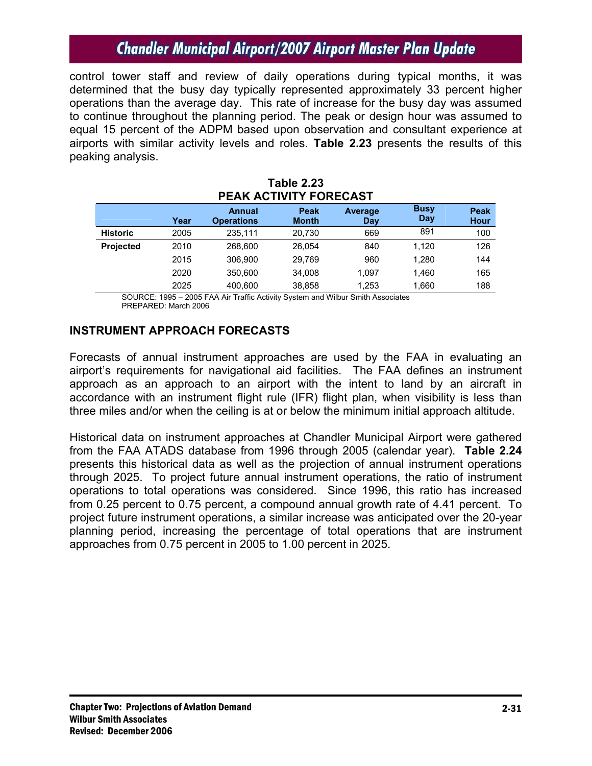control tower staff and review of daily operations during typical months, it was determined that the busy day typically represented approximately 33 percent higher operations than the average day. This rate of increase for the busy day was assumed to continue throughout the planning period. The peak or design hour was assumed to equal 15 percent of the ADPM based upon observation and consultant experience at airports with similar activity levels and roles. **Table 2.23** presents the results of this peaking analysis.

| PEAK ACTIVITY FORECAST |      |                                    |                      |                |                    |              |  |  |
|------------------------|------|------------------------------------|----------------------|----------------|--------------------|--------------|--|--|
|                        | Year | <b>Annual</b><br><b>Operations</b> | Peak<br><b>Month</b> | Average<br>Day | <b>Busy</b><br>Day | Peak<br>Hour |  |  |
| <b>Historic</b>        | 2005 | 235,111                            | 20.730               | 669            | 891                | 100          |  |  |
| <b>Projected</b>       | 2010 | 268.600                            | 26,054               | 840            | 1,120              | 126          |  |  |
|                        | 2015 | 306.900                            | 29.769               | 960            | 1,280              | 144          |  |  |
|                        | 2020 | 350.600                            | 34.008               | 1.097          | 1.460              | 165          |  |  |
|                        | 2025 | 400,600                            | 38,858               | 1,253          | 1,660              | 188          |  |  |

# **Table 2.23**

SOURCE: 1995 – 2005 FAA Air Traffic Activity System and Wilbur Smith Associates PREPARED: March 2006

#### **INSTRUMENT APPROACH FORECASTS**

Forecasts of annual instrument approaches are used by the FAA in evaluating an airport's requirements for navigational aid facilities. The FAA defines an instrument approach as an approach to an airport with the intent to land by an aircraft in accordance with an instrument flight rule (IFR) flight plan, when visibility is less than three miles and/or when the ceiling is at or below the minimum initial approach altitude.

Historical data on instrument approaches at Chandler Municipal Airport were gathered from the FAA ATADS database from 1996 through 2005 (calendar year). **Table 2.24** presents this historical data as well as the projection of annual instrument operations through 2025. To project future annual instrument operations, the ratio of instrument operations to total operations was considered. Since 1996, this ratio has increased from 0.25 percent to 0.75 percent, a compound annual growth rate of 4.41 percent. To project future instrument operations, a similar increase was anticipated over the 20-year planning period, increasing the percentage of total operations that are instrument approaches from 0.75 percent in 2005 to 1.00 percent in 2025.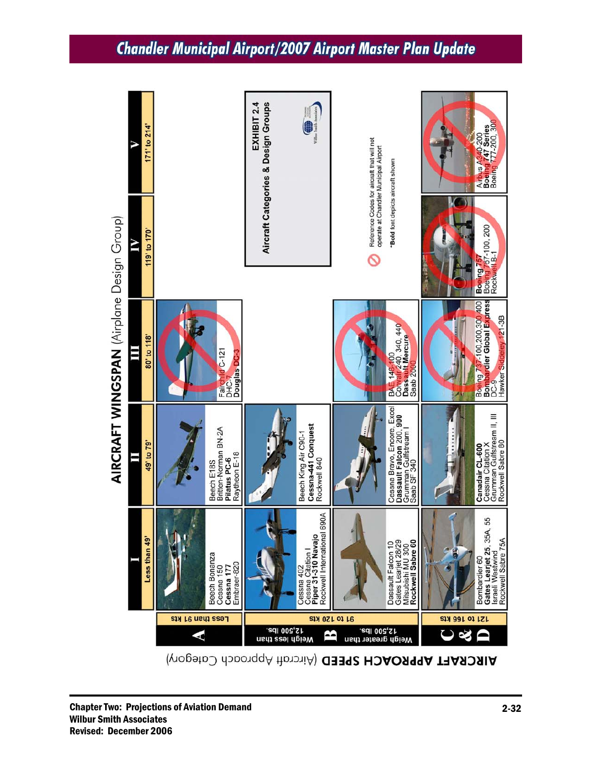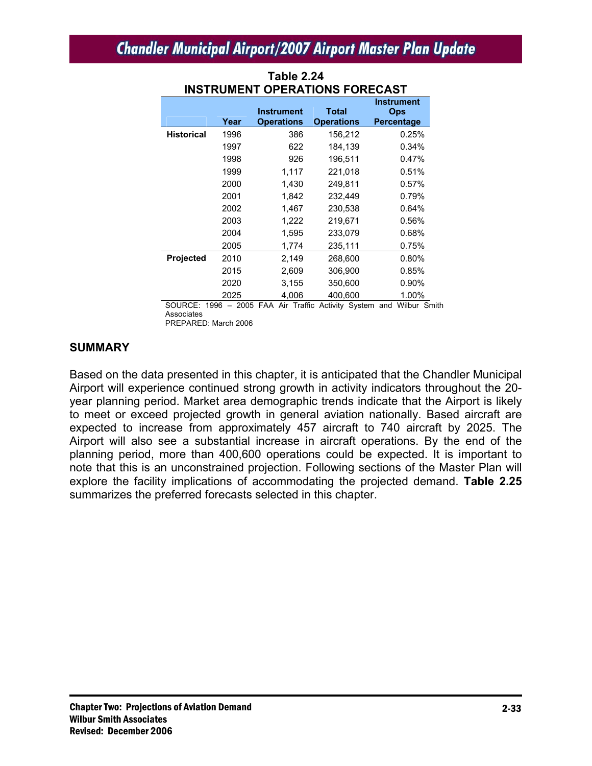| INSIKUMENI<br>UPERATIUNG FUREUAST |      |                                        |                            |                                                      |  |  |
|-----------------------------------|------|----------------------------------------|----------------------------|------------------------------------------------------|--|--|
|                                   | Year | <b>Instrument</b><br><b>Operations</b> | Total<br><b>Operations</b> | <b>Instrument</b><br><b>Ops</b><br><b>Percentage</b> |  |  |
| <b>Historical</b>                 | 1996 | 386                                    | 156,212                    | 0.25%                                                |  |  |
|                                   | 1997 | 622                                    | 184,139                    | 0.34%                                                |  |  |
|                                   | 1998 | 926                                    | 196,511                    | 0.47%                                                |  |  |
|                                   | 1999 | 1,117                                  | 221,018                    | 0.51%                                                |  |  |
|                                   | 2000 | 1,430                                  | 249,811                    | 0.57%                                                |  |  |
|                                   | 2001 | 1,842                                  | 232,449                    | 0.79%                                                |  |  |
|                                   | 2002 | 1,467                                  | 230,538                    | 0.64%                                                |  |  |
|                                   | 2003 | 1,222                                  | 219,671                    | 0.56%                                                |  |  |
|                                   | 2004 | 1,595                                  | 233,079                    | 0.68%                                                |  |  |
|                                   | 2005 | 1,774                                  | 235,111                    | 0.75%                                                |  |  |
| <b>Projected</b>                  | 2010 | 2,149                                  | 268,600                    | 0.80%                                                |  |  |
|                                   | 2015 | 2,609                                  | 306,900                    | 0.85%                                                |  |  |
|                                   | 2020 | 3,155                                  | 350,600                    | $0.90\%$                                             |  |  |
|                                   | 2025 | 4,006                                  | 400,600                    | 1.00%                                                |  |  |

### **Table 2.24 INSTRUMENT OPERATIONS FORECAST**

SOURCE: 1996 – 2005 FAA Air Traffic Activity System and Wilbur Smith Associates PREPARED: March 2006

#### **SUMMARY**

Based on the data presented in this chapter, it is anticipated that the Chandler Municipal Airport will experience continued strong growth in activity indicators throughout the 20 year planning period. Market area demographic trends indicate that the Airport is likely to meet or exceed projected growth in general aviation nationally. Based aircraft are expected to increase from approximately 457 aircraft to 740 aircraft by 2025. The Airport will also see a substantial increase in aircraft operations. By the end of the planning period, more than 400,600 operations could be expected. It is important to note that this is an unconstrained projection. Following sections of the Master Plan will explore the facility implications of accommodating the projected demand. **Table 2.25** summarizes the preferred forecasts selected in this chapter.